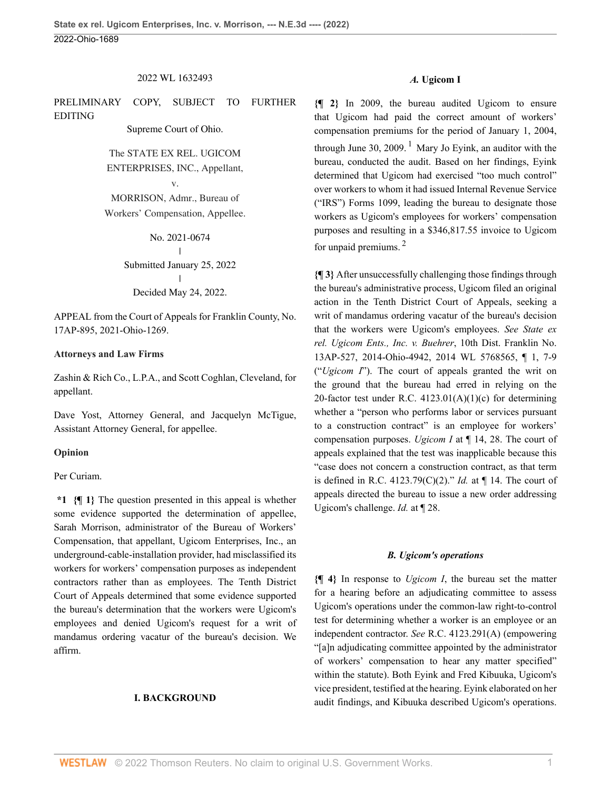2022 WL 1632493

PRELIMINARY COPY, SUBJECT TO FURTHER EDITING

Supreme Court of Ohio.

The STATE EX REL. UGICOM ENTERPRISES, INC., Appellant,

v.

MORRISON, Admr., Bureau of Workers' Compensation, Appellee.

> No. 2021-0674  $\mathbf{I}$ | Submitted January 25, 2022 | Decided May 24, 2022.

APPEAL from the Court of Appeals for Franklin County, No. 17AP-895, 2021-Ohio-1269.

#### **Attorneys and Law Firms**

Zashin & Rich Co., L.P.A., and [Scott Coghlan,](http://www.westlaw.com/Link/Document/FullText?findType=h&pubNum=176284&cite=0281677101&originatingDoc=I49937d00db7211ecbba4d707ee4952c4&refType=RQ&originationContext=document&vr=3.0&rs=cblt1.0&transitionType=DocumentItem&contextData=(sc.Default)) Cleveland, for appellant.

[Dave Yost](http://www.westlaw.com/Link/Document/FullText?findType=h&pubNum=176284&cite=0257034701&originatingDoc=I49937d00db7211ecbba4d707ee4952c4&refType=RQ&originationContext=document&vr=3.0&rs=cblt1.0&transitionType=DocumentItem&contextData=(sc.Default)), Attorney General, and [Jacquelyn McTigue](http://www.westlaw.com/Link/Document/FullText?findType=h&pubNum=176284&cite=0504691401&originatingDoc=I49937d00db7211ecbba4d707ee4952c4&refType=RQ&originationContext=document&vr=3.0&rs=cblt1.0&transitionType=DocumentItem&contextData=(sc.Default)), Assistant Attorney General, for appellee.

#### **Opinion**

Per Curiam.

**\*1 {¶ 1}** The question presented in this appeal is whether some evidence supported the determination of appellee, Sarah Morrison, administrator of the Bureau of Workers' Compensation, that appellant, Ugicom Enterprises, Inc., an underground-cable-installation provider, had misclassified its workers for workers' compensation purposes as independent contractors rather than as employees. The Tenth District Court of Appeals determined that some evidence supported the bureau's determination that the workers were Ugicom's employees and denied Ugicom's request for a writ of mandamus ordering vacatur of the bureau's decision. We affirm.

#### **I. BACKGROUND**

#### <span id="page-0-0"></span>*A.* **Ugicom I**

**{¶ 2}** In 2009, the bureau audited Ugicom to ensure that Ugicom had paid the correct amount of workers' compensation premiums for the period of January 1, 2004, through June 30, 2009.  $^1$  $^1$  Mary Jo Eyink, an auditor with the bureau, conducted the audit. Based on her findings, Eyink determined that Ugicom had exercised "too much control" over workers to whom it had issued Internal Revenue Service ("IRS") Forms 1099, leading the bureau to designate those workers as Ugicom's employees for workers' compensation purposes and resulting in a \$346,817.55 invoice to Ugicom for unpaid premiums. [2](#page-13-1)

<span id="page-0-1"></span>**{¶ 3}** After unsuccessfully challenging those findings through the bureau's administrative process, Ugicom filed an original action in the Tenth District Court of Appeals, seeking a writ of mandamus ordering vacatur of the bureau's decision that the workers were Ugicom's employees. *See [State ex](http://www.westlaw.com/Link/Document/FullText?findType=Y&serNum=2034744795&pubNum=0000999&originatingDoc=I49937d00db7211ecbba4d707ee4952c4&refType=RP&originationContext=document&vr=3.0&rs=cblt1.0&transitionType=DocumentItem&contextData=(sc.Default)) [rel. Ugicom Ents., Inc. v. Buehrer](http://www.westlaw.com/Link/Document/FullText?findType=Y&serNum=2034744795&pubNum=0000999&originatingDoc=I49937d00db7211ecbba4d707ee4952c4&refType=RP&originationContext=document&vr=3.0&rs=cblt1.0&transitionType=DocumentItem&contextData=(sc.Default))*, 10th Dist. Franklin No. [13AP-527, 2014-Ohio-4942, 2014 WL 5768565, ¶ 1, 7-9](http://www.westlaw.com/Link/Document/FullText?findType=Y&serNum=2034744795&pubNum=0000999&originatingDoc=I49937d00db7211ecbba4d707ee4952c4&refType=RP&originationContext=document&vr=3.0&rs=cblt1.0&transitionType=DocumentItem&contextData=(sc.Default)) ("*[Ugicom I](http://www.westlaw.com/Link/Document/FullText?findType=Y&serNum=2034744795&pubNum=0006832&originatingDoc=I49937d00db7211ecbba4d707ee4952c4&refType=RP&originationContext=document&vr=3.0&rs=cblt1.0&transitionType=DocumentItem&contextData=(sc.Default))*"). The court of appeals granted the writ on the ground that the bureau had erred in relying on the 20-factor test under R.C.  $4123.01(A)(1)(c)$  for determining whether a "person who performs labor or services pursuant to a construction contract" is an employee for workers' compensation purposes. *Ugicom I* [at ¶ 14, 28](http://www.westlaw.com/Link/Document/FullText?findType=Y&serNum=2034744795&pubNum=0006832&originatingDoc=I49937d00db7211ecbba4d707ee4952c4&refType=RP&originationContext=document&vr=3.0&rs=cblt1.0&transitionType=DocumentItem&contextData=(sc.Default)). The court of appeals explained that the test was inapplicable because this "case does not concern a construction contract, as that term is defined in [R.C. 4123.79\(C\)\(2\)](http://www.westlaw.com/Link/Document/FullText?findType=L&pubNum=1000279&cite=OHSTS4123.79&originatingDoc=I49937d00db7211ecbba4d707ee4952c4&refType=SP&originationContext=document&vr=3.0&rs=cblt1.0&transitionType=DocumentItem&contextData=(sc.Default)#co_pp_142c0000c0301)." *Id.* [at ¶ 14](http://www.westlaw.com/Link/Document/FullText?findType=Y&serNum=2034744795&pubNum=0006832&originatingDoc=I49937d00db7211ecbba4d707ee4952c4&refType=RP&originationContext=document&vr=3.0&rs=cblt1.0&transitionType=DocumentItem&contextData=(sc.Default)). The court of appeals directed the bureau to issue a new order addressing Ugicom's challenge. *Id.* [at ¶ 28.](http://www.westlaw.com/Link/Document/FullText?findType=Y&serNum=2034744795&pubNum=0006832&originatingDoc=I49937d00db7211ecbba4d707ee4952c4&refType=RP&originationContext=document&vr=3.0&rs=cblt1.0&transitionType=DocumentItem&contextData=(sc.Default))

#### *B. Ugicom's operations*

**{¶ 4}** In response to *[Ugicom I](http://www.westlaw.com/Link/Document/FullText?findType=Y&serNum=2034744795&pubNum=0006832&originatingDoc=I49937d00db7211ecbba4d707ee4952c4&refType=RP&originationContext=document&vr=3.0&rs=cblt1.0&transitionType=DocumentItem&contextData=(sc.Default))*, the bureau set the matter for a hearing before an adjudicating committee to assess Ugicom's operations under the common-law right-to-control test for determining whether a worker is an employee or an independent contractor. *See* [R.C. 4123.291\(A\)](http://www.westlaw.com/Link/Document/FullText?findType=L&pubNum=1000279&cite=OHSTS4123.291&originatingDoc=I49937d00db7211ecbba4d707ee4952c4&refType=SP&originationContext=document&vr=3.0&rs=cblt1.0&transitionType=DocumentItem&contextData=(sc.Default)#co_pp_9f360000ada85) (empowering "[a]n adjudicating committee appointed by the administrator of workers' compensation to hear any matter specified" within the statute). Both Eyink and Fred Kibuuka, Ugicom's vice president, testified at the hearing. Eyink elaborated on her audit findings, and Kibuuka described Ugicom's operations.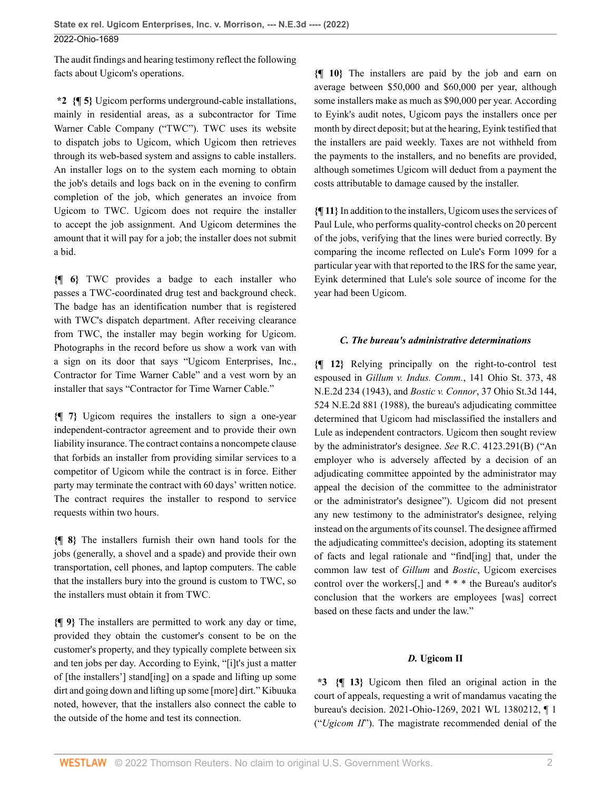The audit findings and hearing testimony reflect the following facts about Ugicom's operations.

**\*2 {¶ 5}** Ugicom performs underground-cable installations, mainly in residential areas, as a subcontractor for Time Warner Cable Company ("TWC"). TWC uses its website to dispatch jobs to Ugicom, which Ugicom then retrieves through its web-based system and assigns to cable installers. An installer logs on to the system each morning to obtain the job's details and logs back on in the evening to confirm completion of the job, which generates an invoice from Ugicom to TWC. Ugicom does not require the installer to accept the job assignment. And Ugicom determines the amount that it will pay for a job; the installer does not submit a bid.

**{¶ 6}** TWC provides a badge to each installer who passes a TWC-coordinated drug test and background check. The badge has an identification number that is registered with TWC's dispatch department. After receiving clearance from TWC, the installer may begin working for Ugicom. Photographs in the record before us show a work van with a sign on its door that says "Ugicom Enterprises, Inc., Contractor for Time Warner Cable" and a vest worn by an installer that says "Contractor for Time Warner Cable."

**{¶ 7}** Ugicom requires the installers to sign a one-year independent-contractor agreement and to provide their own liability insurance. The contract contains a noncompete clause that forbids an installer from providing similar services to a competitor of Ugicom while the contract is in force. Either party may terminate the contract with 60 days' written notice. The contract requires the installer to respond to service requests within two hours.

**{¶ 8}** The installers furnish their own hand tools for the jobs (generally, a shovel and a spade) and provide their own transportation, cell phones, and laptop computers. The cable that the installers bury into the ground is custom to TWC, so the installers must obtain it from TWC.

**{¶ 9}** The installers are permitted to work any day or time, provided they obtain the customer's consent to be on the customer's property, and they typically complete between six and ten jobs per day. According to Eyink, "[i]t's just a matter of [the installers'] stand[ing] on a spade and lifting up some dirt and going down and lifting up some [more] dirt." Kibuuka noted, however, that the installers also connect the cable to the outside of the home and test its connection.

**{¶ 10}** The installers are paid by the job and earn on average between \$50,000 and \$60,000 per year, although some installers make as much as \$90,000 per year. According to Eyink's audit notes, Ugicom pays the installers once per month by direct deposit; but at the hearing, Eyink testified that the installers are paid weekly. Taxes are not withheld from the payments to the installers, and no benefits are provided, although sometimes Ugicom will deduct from a payment the costs attributable to damage caused by the installer.

**{¶ 11}** In addition to the installers, Ugicom uses the services of Paul Lule, who performs quality-control checks on 20 percent of the jobs, verifying that the lines were buried correctly. By comparing the income reflected on Lule's Form 1099 for a particular year with that reported to the IRS for the same year, Eyink determined that Lule's sole source of income for the year had been Ugicom.

#### *C. The bureau's administrative determinations*

**{¶ 12}** Relying principally on the right-to-control test espoused in *[Gillum v. Indus. Comm.](http://www.westlaw.com/Link/Document/FullText?findType=Y&serNum=1943108668&pubNum=0000578&originatingDoc=I49937d00db7211ecbba4d707ee4952c4&refType=RP&originationContext=document&vr=3.0&rs=cblt1.0&transitionType=DocumentItem&contextData=(sc.Default))*, 141 Ohio St. 373, 48 [N.E.2d 234 \(1943\),](http://www.westlaw.com/Link/Document/FullText?findType=Y&serNum=1943108668&pubNum=0000578&originatingDoc=I49937d00db7211ecbba4d707ee4952c4&refType=RP&originationContext=document&vr=3.0&rs=cblt1.0&transitionType=DocumentItem&contextData=(sc.Default)) and *Bostic v. Connor*[, 37 Ohio St.3d 144,](http://www.westlaw.com/Link/Document/FullText?findType=Y&serNum=1988078504&pubNum=0000578&originatingDoc=I49937d00db7211ecbba4d707ee4952c4&refType=RP&originationContext=document&vr=3.0&rs=cblt1.0&transitionType=DocumentItem&contextData=(sc.Default)) [524 N.E.2d 881 \(1988\)](http://www.westlaw.com/Link/Document/FullText?findType=Y&serNum=1988078504&pubNum=0000578&originatingDoc=I49937d00db7211ecbba4d707ee4952c4&refType=RP&originationContext=document&vr=3.0&rs=cblt1.0&transitionType=DocumentItem&contextData=(sc.Default)), the bureau's adjudicating committee determined that Ugicom had misclassified the installers and Lule as independent contractors. Ugicom then sought review by the administrator's designee. *See* [R.C. 4123.291\(B\)](http://www.westlaw.com/Link/Document/FullText?findType=L&pubNum=1000279&cite=OHSTS4123.291&originatingDoc=I49937d00db7211ecbba4d707ee4952c4&refType=SP&originationContext=document&vr=3.0&rs=cblt1.0&transitionType=DocumentItem&contextData=(sc.Default)#co_pp_47dd0000d9ea7) ("An employer who is adversely affected by a decision of an adjudicating committee appointed by the administrator may appeal the decision of the committee to the administrator or the administrator's designee"). Ugicom did not present any new testimony to the administrator's designee, relying instead on the arguments of its counsel. The designee affirmed the adjudicating committee's decision, adopting its statement of facts and legal rationale and "find[ing] that, under the common law test of *[Gillum](http://www.westlaw.com/Link/Document/FullText?findType=Y&serNum=1943108668&pubNum=0000578&originatingDoc=I49937d00db7211ecbba4d707ee4952c4&refType=RP&originationContext=document&vr=3.0&rs=cblt1.0&transitionType=DocumentItem&contextData=(sc.Default))* and *[Bostic](http://www.westlaw.com/Link/Document/FullText?findType=Y&serNum=1988078504&pubNum=0000996&originatingDoc=I49937d00db7211ecbba4d707ee4952c4&refType=RP&originationContext=document&vr=3.0&rs=cblt1.0&transitionType=DocumentItem&contextData=(sc.Default))*, Ugicom exercises control over the workers[,] and \* \* \* the Bureau's auditor's conclusion that the workers are employees [was] correct based on these facts and under the law."

#### *D.* **Ugicom II**

**\*3 {¶ 13}** Ugicom then filed an original action in the court of appeals, requesting a writ of mandamus vacating the bureau's decision. [2021-Ohio-1269, 2021 WL 1380212, ¶ 1](http://www.westlaw.com/Link/Document/FullText?findType=Y&serNum=2053432869&pubNum=0000999&originatingDoc=I49937d00db7211ecbba4d707ee4952c4&refType=RP&originationContext=document&vr=3.0&rs=cblt1.0&transitionType=DocumentItem&contextData=(sc.Default)) ("*[Ugicom II](http://www.westlaw.com/Link/Document/FullText?findType=Y&serNum=2053432869&pubNum=0006832&originatingDoc=I49937d00db7211ecbba4d707ee4952c4&refType=RP&originationContext=document&vr=3.0&rs=cblt1.0&transitionType=DocumentItem&contextData=(sc.Default))*"). The magistrate recommended denial of the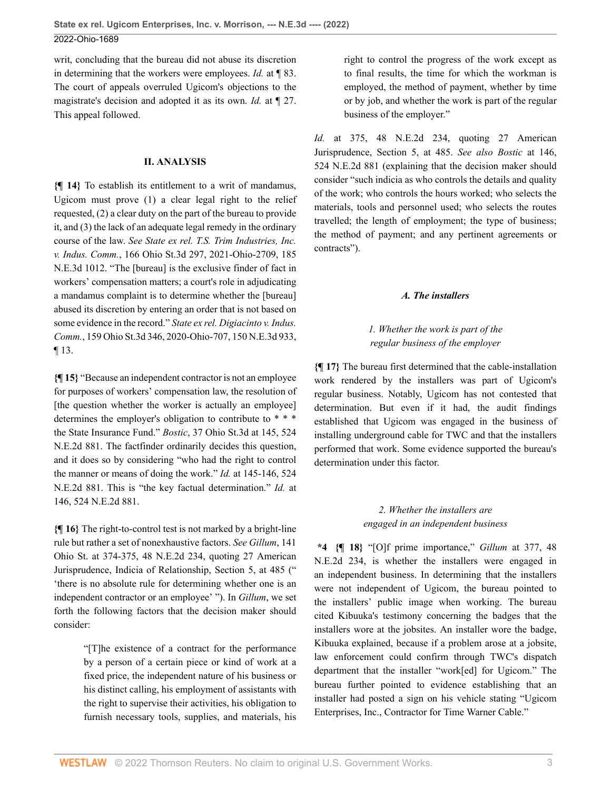writ, concluding that the bureau did not abuse its discretion in determining that the workers were employees. *Id.* [at ¶ 83](http://www.westlaw.com/Link/Document/FullText?findType=Y&serNum=2053432869&pubNum=0006832&originatingDoc=I49937d00db7211ecbba4d707ee4952c4&refType=RP&originationContext=document&vr=3.0&rs=cblt1.0&transitionType=DocumentItem&contextData=(sc.Default)). The court of appeals overruled Ugicom's objections to the magistrate's decision and adopted it as its own. *Id.* [at ¶ 27](http://www.westlaw.com/Link/Document/FullText?findType=Y&serNum=2053432869&pubNum=0006832&originatingDoc=I49937d00db7211ecbba4d707ee4952c4&refType=RP&originationContext=document&vr=3.0&rs=cblt1.0&transitionType=DocumentItem&contextData=(sc.Default)). This appeal followed.

#### **II. ANALYSIS**

**{¶ 14}** To establish its entitlement to a writ of mandamus, Ugicom must prove (1) a clear legal right to the relief requested, (2) a clear duty on the part of the bureau to provide it, and (3) the lack of an adequate legal remedy in the ordinary course of the law. *See [State ex rel. T.S. Trim Industries, Inc.](http://www.westlaw.com/Link/Document/FullText?findType=Y&serNum=2054281802&pubNum=0000996&originatingDoc=I49937d00db7211ecbba4d707ee4952c4&refType=RP&originationContext=document&vr=3.0&rs=cblt1.0&transitionType=DocumentItem&contextData=(sc.Default)) v. Indus. Comm.*[, 166 Ohio St.3d 297, 2021-Ohio-2709, 185](http://www.westlaw.com/Link/Document/FullText?findType=Y&serNum=2054281802&pubNum=0000996&originatingDoc=I49937d00db7211ecbba4d707ee4952c4&refType=RP&originationContext=document&vr=3.0&rs=cblt1.0&transitionType=DocumentItem&contextData=(sc.Default)) [N.E.3d 1012](http://www.westlaw.com/Link/Document/FullText?findType=Y&serNum=2054281802&pubNum=0000996&originatingDoc=I49937d00db7211ecbba4d707ee4952c4&refType=RP&originationContext=document&vr=3.0&rs=cblt1.0&transitionType=DocumentItem&contextData=(sc.Default)). "The [bureau] is the exclusive finder of fact in workers' compensation matters; a court's role in adjudicating a mandamus complaint is to determine whether the [bureau] abused its discretion by entering an order that is not based on some evidence in the record." *[State ex rel. Digiacinto v. Indus.](http://www.westlaw.com/Link/Document/FullText?findType=Y&serNum=2050488060&pubNum=0007902&originatingDoc=I49937d00db7211ecbba4d707ee4952c4&refType=RP&originationContext=document&vr=3.0&rs=cblt1.0&transitionType=DocumentItem&contextData=(sc.Default)) Comm.*[, 159 Ohio St.3d 346, 2020-Ohio-707, 150 N.E.3d 933,](http://www.westlaw.com/Link/Document/FullText?findType=Y&serNum=2050488060&pubNum=0007902&originatingDoc=I49937d00db7211ecbba4d707ee4952c4&refType=RP&originationContext=document&vr=3.0&rs=cblt1.0&transitionType=DocumentItem&contextData=(sc.Default)) [¶ 13](http://www.westlaw.com/Link/Document/FullText?findType=Y&serNum=2050488060&pubNum=0007902&originatingDoc=I49937d00db7211ecbba4d707ee4952c4&refType=RP&originationContext=document&vr=3.0&rs=cblt1.0&transitionType=DocumentItem&contextData=(sc.Default)).

**{¶ 15}** "Because an independent contractor is not an employee for purposes of workers' compensation law, the resolution of [the question whether the worker is actually an employee] determines the employer's obligation to contribute to \* \* \* the State Insurance Fund." *Bostic*[, 37 Ohio St.3d at 145, 524](http://www.westlaw.com/Link/Document/FullText?findType=Y&serNum=1988078504&pubNum=0000996&originatingDoc=I49937d00db7211ecbba4d707ee4952c4&refType=RP&fi=co_pp_sp_996_145&originationContext=document&vr=3.0&rs=cblt1.0&transitionType=DocumentItem&contextData=(sc.Default)#co_pp_sp_996_145) [N.E.2d 881.](http://www.westlaw.com/Link/Document/FullText?findType=Y&serNum=1988078504&pubNum=0000996&originatingDoc=I49937d00db7211ecbba4d707ee4952c4&refType=RP&fi=co_pp_sp_996_145&originationContext=document&vr=3.0&rs=cblt1.0&transitionType=DocumentItem&contextData=(sc.Default)#co_pp_sp_996_145) The factfinder ordinarily decides this question, and it does so by considering "who had the right to control the manner or means of doing the work." *Id.* [at 145-146, 524](http://www.westlaw.com/Link/Document/FullText?findType=Y&serNum=1988078504&pubNum=0000996&originatingDoc=I49937d00db7211ecbba4d707ee4952c4&refType=RP&fi=co_pp_sp_996_145&originationContext=document&vr=3.0&rs=cblt1.0&transitionType=DocumentItem&contextData=(sc.Default)#co_pp_sp_996_145) [N.E.2d 881](http://www.westlaw.com/Link/Document/FullText?findType=Y&serNum=1988078504&pubNum=0000996&originatingDoc=I49937d00db7211ecbba4d707ee4952c4&refType=RP&fi=co_pp_sp_996_145&originationContext=document&vr=3.0&rs=cblt1.0&transitionType=DocumentItem&contextData=(sc.Default)#co_pp_sp_996_145). This is "the key factual determination." *Id.* [at](http://www.westlaw.com/Link/Document/FullText?findType=Y&serNum=1988078504&pubNum=0000996&originatingDoc=I49937d00db7211ecbba4d707ee4952c4&refType=RP&fi=co_pp_sp_996_146&originationContext=document&vr=3.0&rs=cblt1.0&transitionType=DocumentItem&contextData=(sc.Default)#co_pp_sp_996_146) [146, 524 N.E.2d 881](http://www.westlaw.com/Link/Document/FullText?findType=Y&serNum=1988078504&pubNum=0000996&originatingDoc=I49937d00db7211ecbba4d707ee4952c4&refType=RP&fi=co_pp_sp_996_146&originationContext=document&vr=3.0&rs=cblt1.0&transitionType=DocumentItem&contextData=(sc.Default)#co_pp_sp_996_146).

**{¶ 16}** The right-to-control test is not marked by a bright-line rule but rather a set of nonexhaustive factors. *See [Gillum](http://www.westlaw.com/Link/Document/FullText?findType=Y&serNum=1943108668&pubNum=0000633&originatingDoc=I49937d00db7211ecbba4d707ee4952c4&refType=RP&fi=co_pp_sp_633_374&originationContext=document&vr=3.0&rs=cblt1.0&transitionType=DocumentItem&contextData=(sc.Default)#co_pp_sp_633_374)*, 141 [Ohio St. at 374-375, 48 N.E.2d 234](http://www.westlaw.com/Link/Document/FullText?findType=Y&serNum=1943108668&pubNum=0000633&originatingDoc=I49937d00db7211ecbba4d707ee4952c4&refType=RP&fi=co_pp_sp_633_374&originationContext=document&vr=3.0&rs=cblt1.0&transitionType=DocumentItem&contextData=(sc.Default)#co_pp_sp_633_374), quoting 27 American Jurisprudence, Indicia of Relationship, Section 5, at 485 (" 'there is no absolute rule for determining whether one is an independent contractor or an employee' "). In *[Gillum](http://www.westlaw.com/Link/Document/FullText?findType=Y&serNum=1943108668&pubNum=0000578&originatingDoc=I49937d00db7211ecbba4d707ee4952c4&refType=RP&originationContext=document&vr=3.0&rs=cblt1.0&transitionType=DocumentItem&contextData=(sc.Default))*, we set forth the following factors that the decision maker should consider:

> "[T]he existence of a contract for the performance by a person of a certain piece or kind of work at a fixed price, the independent nature of his business or his distinct calling, his employment of assistants with the right to supervise their activities, his obligation to furnish necessary tools, supplies, and materials, his

right to control the progress of the work except as to final results, the time for which the workman is employed, the method of payment, whether by time or by job, and whether the work is part of the regular business of the employer."

*Id.* [at 375, 48 N.E.2d 234,](http://www.westlaw.com/Link/Document/FullText?findType=Y&serNum=1943108668&pubNum=0000578&originatingDoc=I49937d00db7211ecbba4d707ee4952c4&refType=PA&fi=co_pp_sp_578_375&originationContext=document&vr=3.0&rs=cblt1.0&transitionType=DocumentItem&contextData=(sc.Default)#co_pp_sp_578_375) quoting 27 American Jurisprudence, Section 5, at 485. *See also Bostic* [at 146,](http://www.westlaw.com/Link/Document/FullText?findType=Y&serNum=1988078504&pubNum=0000996&originatingDoc=I49937d00db7211ecbba4d707ee4952c4&refType=RP&fi=co_pp_sp_996_146&originationContext=document&vr=3.0&rs=cblt1.0&transitionType=DocumentItem&contextData=(sc.Default)#co_pp_sp_996_146) [524 N.E.2d 881](http://www.westlaw.com/Link/Document/FullText?findType=Y&serNum=1988078504&pubNum=0000996&originatingDoc=I49937d00db7211ecbba4d707ee4952c4&refType=RP&fi=co_pp_sp_996_146&originationContext=document&vr=3.0&rs=cblt1.0&transitionType=DocumentItem&contextData=(sc.Default)#co_pp_sp_996_146) (explaining that the decision maker should consider "such indicia as who controls the details and quality of the work; who controls the hours worked; who selects the materials, tools and personnel used; who selects the routes travelled; the length of employment; the type of business; the method of payment; and any pertinent agreements or contracts").

#### *A. The installers*

# *1. Whether the work is part of the regular business of the employer*

**{¶ 17}** The bureau first determined that the cable-installation work rendered by the installers was part of Ugicom's regular business. Notably, Ugicom has not contested that determination. But even if it had, the audit findings established that Ugicom was engaged in the business of installing underground cable for TWC and that the installers performed that work. Some evidence supported the bureau's determination under this factor.

# *2. Whether the installers are engaged in an independent business*

**\*4 {¶ 18}** "[O]f prime importance," *Gillum* [at 377, 48](http://www.westlaw.com/Link/Document/FullText?findType=Y&serNum=1943108668&pubNum=0000578&originatingDoc=I49937d00db7211ecbba4d707ee4952c4&refType=RP&fi=co_pp_sp_578_377&originationContext=document&vr=3.0&rs=cblt1.0&transitionType=DocumentItem&contextData=(sc.Default)#co_pp_sp_578_377) [N.E.2d 234,](http://www.westlaw.com/Link/Document/FullText?findType=Y&serNum=1943108668&pubNum=0000578&originatingDoc=I49937d00db7211ecbba4d707ee4952c4&refType=RP&fi=co_pp_sp_578_377&originationContext=document&vr=3.0&rs=cblt1.0&transitionType=DocumentItem&contextData=(sc.Default)#co_pp_sp_578_377) is whether the installers were engaged in an independent business. In determining that the installers were not independent of Ugicom, the bureau pointed to the installers' public image when working. The bureau cited Kibuuka's testimony concerning the badges that the installers wore at the jobsites. An installer wore the badge, Kibuuka explained, because if a problem arose at a jobsite, law enforcement could confirm through TWC's dispatch department that the installer "work[ed] for Ugicom." The bureau further pointed to evidence establishing that an installer had posted a sign on his vehicle stating "Ugicom Enterprises, Inc., Contractor for Time Warner Cable."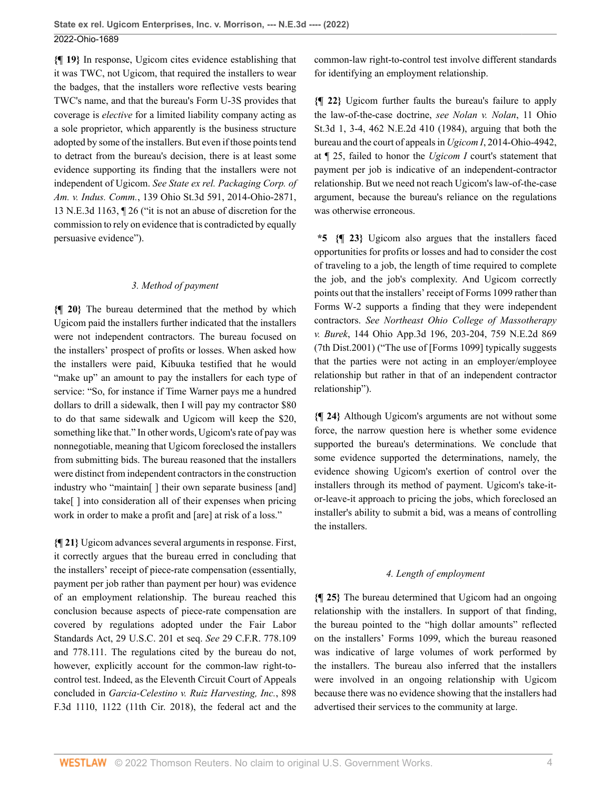**{¶ 19}** In response, Ugicom cites evidence establishing that it was TWC, not Ugicom, that required the installers to wear the badges, that the installers wore reflective vests bearing TWC's name, and that the bureau's Form U-3S provides that coverage is *elective* for a limited liability company acting as a sole proprietor, which apparently is the business structure adopted by some of the installers. But even if those points tend to detract from the bureau's decision, there is at least some evidence supporting its finding that the installers were not independent of Ugicom. *See [State ex rel. Packaging Corp. of](http://www.westlaw.com/Link/Document/FullText?findType=Y&serNum=2033762708&pubNum=0007902&originatingDoc=I49937d00db7211ecbba4d707ee4952c4&refType=RP&originationContext=document&vr=3.0&rs=cblt1.0&transitionType=DocumentItem&contextData=(sc.Default)) Am. v. Indus. Comm.*[, 139 Ohio St.3d 591, 2014-Ohio-2871,](http://www.westlaw.com/Link/Document/FullText?findType=Y&serNum=2033762708&pubNum=0007902&originatingDoc=I49937d00db7211ecbba4d707ee4952c4&refType=RP&originationContext=document&vr=3.0&rs=cblt1.0&transitionType=DocumentItem&contextData=(sc.Default)) [13 N.E.3d 1163, ¶ 26](http://www.westlaw.com/Link/Document/FullText?findType=Y&serNum=2033762708&pubNum=0007902&originatingDoc=I49937d00db7211ecbba4d707ee4952c4&refType=RP&originationContext=document&vr=3.0&rs=cblt1.0&transitionType=DocumentItem&contextData=(sc.Default)) ("it is not an abuse of discretion for the commission to rely on evidence that is contradicted by equally persuasive evidence").

#### *3. Method of payment*

**{¶ 20}** The bureau determined that the method by which Ugicom paid the installers further indicated that the installers were not independent contractors. The bureau focused on the installers' prospect of profits or losses. When asked how the installers were paid, Kibuuka testified that he would "make up" an amount to pay the installers for each type of service: "So, for instance if Time Warner pays me a hundred dollars to drill a sidewalk, then I will pay my contractor \$80 to do that same sidewalk and Ugicom will keep the \$20, something like that." In other words, Ugicom's rate of pay was nonnegotiable, meaning that Ugicom foreclosed the installers from submitting bids. The bureau reasoned that the installers were distinct from independent contractors in the construction industry who "maintain" I their own separate business [and] take[ ] into consideration all of their expenses when pricing work in order to make a profit and [are] at risk of a loss."

**{¶ 21}** Ugicom advances several arguments in response. First, it correctly argues that the bureau erred in concluding that the installers' receipt of piece-rate compensation (essentially, payment per job rather than payment per hour) was evidence of an employment relationship. The bureau reached this conclusion because aspects of piece-rate compensation are covered by regulations adopted under the Fair Labor Standards Act, [29 U.S.C. 201 et seq.](http://www.westlaw.com/Link/Document/FullText?findType=L&pubNum=1000546&cite=29USCAS201&originatingDoc=I49937d00db7211ecbba4d707ee4952c4&refType=LQ&originationContext=document&vr=3.0&rs=cblt1.0&transitionType=DocumentItem&contextData=(sc.Default)) *See* [29 C.F.R. 778.109](http://www.westlaw.com/Link/Document/FullText?findType=L&pubNum=1000547&cite=29CFRS778.109&originatingDoc=I49937d00db7211ecbba4d707ee4952c4&refType=LQ&originationContext=document&vr=3.0&rs=cblt1.0&transitionType=DocumentItem&contextData=(sc.Default)) and [778.111.](http://www.westlaw.com/Link/Document/FullText?findType=L&pubNum=1000547&cite=29CFRS778.111&originatingDoc=I49937d00db7211ecbba4d707ee4952c4&refType=LQ&originationContext=document&vr=3.0&rs=cblt1.0&transitionType=DocumentItem&contextData=(sc.Default)) The regulations cited by the bureau do not, however, explicitly account for the common-law right-tocontrol test. Indeed, as the Eleventh Circuit Court of Appeals concluded in *[Garcia-Celestino v. Ruiz Harvesting, Inc.](http://www.westlaw.com/Link/Document/FullText?findType=Y&serNum=2045178165&pubNum=0000506&originatingDoc=I49937d00db7211ecbba4d707ee4952c4&refType=RP&fi=co_pp_sp_506_1122&originationContext=document&vr=3.0&rs=cblt1.0&transitionType=DocumentItem&contextData=(sc.Default)#co_pp_sp_506_1122)*, 898 [F.3d 1110, 1122 \(11th Cir. 2018\),](http://www.westlaw.com/Link/Document/FullText?findType=Y&serNum=2045178165&pubNum=0000506&originatingDoc=I49937d00db7211ecbba4d707ee4952c4&refType=RP&fi=co_pp_sp_506_1122&originationContext=document&vr=3.0&rs=cblt1.0&transitionType=DocumentItem&contextData=(sc.Default)#co_pp_sp_506_1122) the federal act and the common-law right-to-control test involve different standards for identifying an employment relationship.

**{¶ 22}** Ugicom further faults the bureau's failure to apply the law-of-the-case doctrine, *see [Nolan v. Nolan](http://www.westlaw.com/Link/Document/FullText?findType=Y&serNum=1984122314&pubNum=0000996&originatingDoc=I49937d00db7211ecbba4d707ee4952c4&refType=RP&fi=co_pp_sp_996_3&originationContext=document&vr=3.0&rs=cblt1.0&transitionType=DocumentItem&contextData=(sc.Default)#co_pp_sp_996_3)*, 11 Ohio [St.3d 1, 3-4, 462 N.E.2d 410 \(1984\),](http://www.westlaw.com/Link/Document/FullText?findType=Y&serNum=1984122314&pubNum=0000996&originatingDoc=I49937d00db7211ecbba4d707ee4952c4&refType=RP&fi=co_pp_sp_996_3&originationContext=document&vr=3.0&rs=cblt1.0&transitionType=DocumentItem&contextData=(sc.Default)#co_pp_sp_996_3) arguing that both the bureau and the court of appeals in *Ugicom I*[, 2014-Ohio-4942,](http://www.westlaw.com/Link/Document/FullText?findType=Y&serNum=2034744795&pubNum=0006832&originatingDoc=I49937d00db7211ecbba4d707ee4952c4&refType=RP&originationContext=document&vr=3.0&rs=cblt1.0&transitionType=DocumentItem&contextData=(sc.Default)) [at ¶ 25,](http://www.westlaw.com/Link/Document/FullText?findType=Y&serNum=2034744795&pubNum=0006832&originatingDoc=I49937d00db7211ecbba4d707ee4952c4&refType=RP&originationContext=document&vr=3.0&rs=cblt1.0&transitionType=DocumentItem&contextData=(sc.Default)) failed to honor the *[Ugicom I](http://www.westlaw.com/Link/Document/FullText?findType=Y&serNum=2034744795&pubNum=0006832&originatingDoc=I49937d00db7211ecbba4d707ee4952c4&refType=RP&originationContext=document&vr=3.0&rs=cblt1.0&transitionType=DocumentItem&contextData=(sc.Default))* court's statement that payment per job is indicative of an independent-contractor relationship. But we need not reach Ugicom's law-of-the-case argument, because the bureau's reliance on the regulations was otherwise erroneous.

**\*5 {¶ 23}** Ugicom also argues that the installers faced opportunities for profits or losses and had to consider the cost of traveling to a job, the length of time required to complete the job, and the job's complexity. And Ugicom correctly points out that the installers' receipt of Forms 1099 rather than Forms W-2 supports a finding that they were independent contractors. *See [Northeast Ohio College of Massotherapy](http://www.westlaw.com/Link/Document/FullText?findType=Y&serNum=2001519097&pubNum=0000578&originatingDoc=I49937d00db7211ecbba4d707ee4952c4&refType=RP&fi=co_pp_sp_578_203&originationContext=document&vr=3.0&rs=cblt1.0&transitionType=DocumentItem&contextData=(sc.Default)#co_pp_sp_578_203) v. Burek*[, 144 Ohio App.3d 196, 203-204, 759 N.E.2d 869](http://www.westlaw.com/Link/Document/FullText?findType=Y&serNum=2001519097&pubNum=0000578&originatingDoc=I49937d00db7211ecbba4d707ee4952c4&refType=RP&fi=co_pp_sp_578_203&originationContext=document&vr=3.0&rs=cblt1.0&transitionType=DocumentItem&contextData=(sc.Default)#co_pp_sp_578_203) [\(7th Dist.2001\)](http://www.westlaw.com/Link/Document/FullText?findType=Y&serNum=2001519097&pubNum=0000578&originatingDoc=I49937d00db7211ecbba4d707ee4952c4&refType=RP&fi=co_pp_sp_578_203&originationContext=document&vr=3.0&rs=cblt1.0&transitionType=DocumentItem&contextData=(sc.Default)#co_pp_sp_578_203) ("The use of [Forms 1099] typically suggests that the parties were not acting in an employer/employee relationship but rather in that of an independent contractor relationship").

**{¶ 24}** Although Ugicom's arguments are not without some force, the narrow question here is whether some evidence supported the bureau's determinations. We conclude that some evidence supported the determinations, namely, the evidence showing Ugicom's exertion of control over the installers through its method of payment. Ugicom's take-itor-leave-it approach to pricing the jobs, which foreclosed an installer's ability to submit a bid, was a means of controlling the installers.

## *4. Length of employment*

**{¶ 25}** The bureau determined that Ugicom had an ongoing relationship with the installers. In support of that finding, the bureau pointed to the "high dollar amounts" reflected on the installers' Forms 1099, which the bureau reasoned was indicative of large volumes of work performed by the installers. The bureau also inferred that the installers were involved in an ongoing relationship with Ugicom because there was no evidence showing that the installers had advertised their services to the community at large.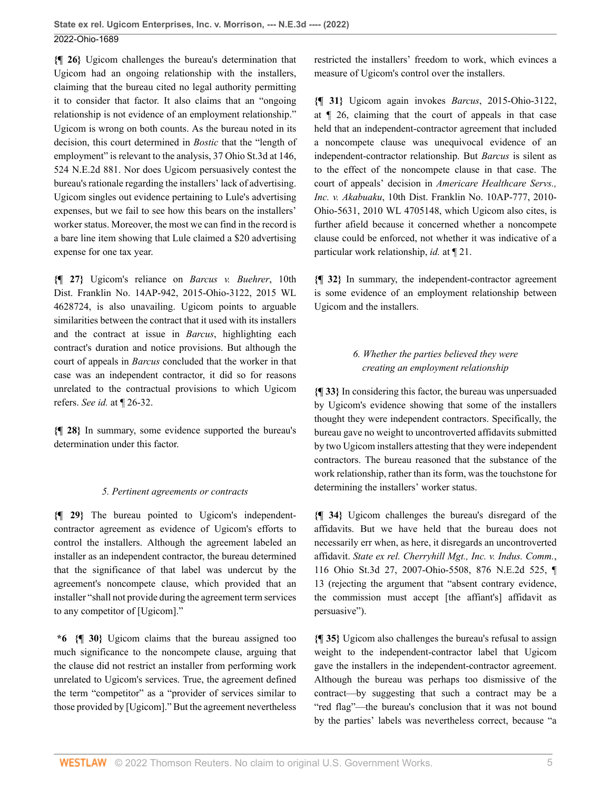**{¶ 26}** Ugicom challenges the bureau's determination that Ugicom had an ongoing relationship with the installers, claiming that the bureau cited no legal authority permitting it to consider that factor. It also claims that an "ongoing relationship is not evidence of an employment relationship." Ugicom is wrong on both counts. As the bureau noted in its decision, this court determined in *[Bostic](http://www.westlaw.com/Link/Document/FullText?findType=Y&serNum=1988078504&pubNum=0000996&originatingDoc=I49937d00db7211ecbba4d707ee4952c4&refType=RP&originationContext=document&vr=3.0&rs=cblt1.0&transitionType=DocumentItem&contextData=(sc.Default))* that the "length of employment" is relevant to the analysis, [37 Ohio St.3d at 146,](http://www.westlaw.com/Link/Document/FullText?findType=Y&serNum=1988078504&pubNum=0000996&originatingDoc=I49937d00db7211ecbba4d707ee4952c4&refType=RP&fi=co_pp_sp_996_146&originationContext=document&vr=3.0&rs=cblt1.0&transitionType=DocumentItem&contextData=(sc.Default)#co_pp_sp_996_146) [524 N.E.2d 881.](http://www.westlaw.com/Link/Document/FullText?findType=Y&serNum=1988078504&pubNum=0000996&originatingDoc=I49937d00db7211ecbba4d707ee4952c4&refType=RP&fi=co_pp_sp_996_146&originationContext=document&vr=3.0&rs=cblt1.0&transitionType=DocumentItem&contextData=(sc.Default)#co_pp_sp_996_146) Nor does Ugicom persuasively contest the bureau's rationale regarding the installers' lack of advertising. Ugicom singles out evidence pertaining to Lule's advertising expenses, but we fail to see how this bears on the installers' worker status. Moreover, the most we can find in the record is a bare line item showing that Lule claimed a \$20 advertising expense for one tax year.

**{¶ 27}** Ugicom's reliance on *[Barcus v. Buehrer](http://www.westlaw.com/Link/Document/FullText?findType=Y&serNum=2036818448&pubNum=0000999&originatingDoc=I49937d00db7211ecbba4d707ee4952c4&refType=RP&originationContext=document&vr=3.0&rs=cblt1.0&transitionType=DocumentItem&contextData=(sc.Default))*, 10th [Dist. Franklin No. 14AP-942, 2015-Ohio-3122, 2015 WL](http://www.westlaw.com/Link/Document/FullText?findType=Y&serNum=2036818448&pubNum=0000999&originatingDoc=I49937d00db7211ecbba4d707ee4952c4&refType=RP&originationContext=document&vr=3.0&rs=cblt1.0&transitionType=DocumentItem&contextData=(sc.Default)) [4628724](http://www.westlaw.com/Link/Document/FullText?findType=Y&serNum=2036818448&pubNum=0000999&originatingDoc=I49937d00db7211ecbba4d707ee4952c4&refType=RP&originationContext=document&vr=3.0&rs=cblt1.0&transitionType=DocumentItem&contextData=(sc.Default)), is also unavailing. Ugicom points to arguable similarities between the contract that it used with its installers and the contract at issue in *[Barcus](http://www.westlaw.com/Link/Document/FullText?findType=Y&serNum=2036818448&pubNum=0006832&originatingDoc=I49937d00db7211ecbba4d707ee4952c4&refType=RP&originationContext=document&vr=3.0&rs=cblt1.0&transitionType=DocumentItem&contextData=(sc.Default))*, highlighting each contract's duration and notice provisions. But although the court of appeals in *[Barcus](http://www.westlaw.com/Link/Document/FullText?findType=Y&serNum=2036818448&pubNum=0006832&originatingDoc=I49937d00db7211ecbba4d707ee4952c4&refType=RP&originationContext=document&vr=3.0&rs=cblt1.0&transitionType=DocumentItem&contextData=(sc.Default))* concluded that the worker in that case was an independent contractor, it did so for reasons unrelated to the contractual provisions to which Ugicom refers. *See id.* [at ¶ 26-32.](http://www.westlaw.com/Link/Document/FullText?findType=Y&serNum=2036818448&pubNum=0006832&originatingDoc=I49937d00db7211ecbba4d707ee4952c4&refType=RP&originationContext=document&vr=3.0&rs=cblt1.0&transitionType=DocumentItem&contextData=(sc.Default))

**{¶ 28}** In summary, some evidence supported the bureau's determination under this factor.

#### *5. Pertinent agreements or contracts*

**{¶ 29}** The bureau pointed to Ugicom's independentcontractor agreement as evidence of Ugicom's efforts to control the installers. Although the agreement labeled an installer as an independent contractor, the bureau determined that the significance of that label was undercut by the agreement's noncompete clause, which provided that an installer "shall not provide during the agreement term services to any competitor of [Ugicom]."

**\*6 {¶ 30}** Ugicom claims that the bureau assigned too much significance to the noncompete clause, arguing that the clause did not restrict an installer from performing work unrelated to Ugicom's services. True, the agreement defined the term "competitor" as a "provider of services similar to those provided by [Ugicom]." But the agreement nevertheless restricted the installers' freedom to work, which evinces a measure of Ugicom's control over the installers.

**{¶ 31}** Ugicom again invokes *Barcus*[, 2015-Ohio-3122,](http://www.westlaw.com/Link/Document/FullText?findType=Y&serNum=2036818448&pubNum=0006832&originatingDoc=I49937d00db7211ecbba4d707ee4952c4&refType=RP&originationContext=document&vr=3.0&rs=cblt1.0&transitionType=DocumentItem&contextData=(sc.Default)) [at ¶ 26](http://www.westlaw.com/Link/Document/FullText?findType=Y&serNum=2036818448&pubNum=0006832&originatingDoc=I49937d00db7211ecbba4d707ee4952c4&refType=RP&originationContext=document&vr=3.0&rs=cblt1.0&transitionType=DocumentItem&contextData=(sc.Default)), claiming that the court of appeals in that case held that an independent-contractor agreement that included a noncompete clause was unequivocal evidence of an independent-contractor relationship. But *[Barcus](http://www.westlaw.com/Link/Document/FullText?findType=Y&serNum=2036818448&pubNum=0006832&originatingDoc=I49937d00db7211ecbba4d707ee4952c4&refType=RP&originationContext=document&vr=3.0&rs=cblt1.0&transitionType=DocumentItem&contextData=(sc.Default))* is silent as to the effect of the noncompete clause in that case. The court of appeals' decision in *[Americare Healthcare Servs.,](http://www.westlaw.com/Link/Document/FullText?findType=Y&serNum=2023824914&pubNum=0000999&originatingDoc=I49937d00db7211ecbba4d707ee4952c4&refType=RP&originationContext=document&vr=3.0&rs=cblt1.0&transitionType=DocumentItem&contextData=(sc.Default)) Inc. v. Akabuaku*[, 10th Dist. Franklin No. 10AP-777, 2010-](http://www.westlaw.com/Link/Document/FullText?findType=Y&serNum=2023824914&pubNum=0000999&originatingDoc=I49937d00db7211ecbba4d707ee4952c4&refType=RP&originationContext=document&vr=3.0&rs=cblt1.0&transitionType=DocumentItem&contextData=(sc.Default)) [Ohio-5631, 2010 WL 4705148](http://www.westlaw.com/Link/Document/FullText?findType=Y&serNum=2023824914&pubNum=0000999&originatingDoc=I49937d00db7211ecbba4d707ee4952c4&refType=RP&originationContext=document&vr=3.0&rs=cblt1.0&transitionType=DocumentItem&contextData=(sc.Default)), which Ugicom also cites, is further afield because it concerned whether a noncompete clause could be enforced, not whether it was indicative of a particular work relationship, *id.* [at ¶ 21](http://www.westlaw.com/Link/Document/FullText?findType=Y&serNum=2023824914&pubNum=0006832&originatingDoc=I49937d00db7211ecbba4d707ee4952c4&refType=RP&originationContext=document&vr=3.0&rs=cblt1.0&transitionType=DocumentItem&contextData=(sc.Default)).

**{¶ 32}** In summary, the independent-contractor agreement is some evidence of an employment relationship between Ugicom and the installers.

# *6. Whether the parties believed they were creating an employment relationship*

**{¶ 33}** In considering this factor, the bureau was unpersuaded by Ugicom's evidence showing that some of the installers thought they were independent contractors. Specifically, the bureau gave no weight to uncontroverted affidavits submitted by two Ugicom installers attesting that they were independent contractors. The bureau reasoned that the substance of the work relationship, rather than its form, was the touchstone for determining the installers' worker status.

**{¶ 34}** Ugicom challenges the bureau's disregard of the affidavits. But we have held that the bureau does not necessarily err when, as here, it disregards an uncontroverted affidavit. *[State ex rel. Cherryhill Mgt., Inc. v. Indus. Comm.](http://www.westlaw.com/Link/Document/FullText?findType=Y&serNum=2013849882&pubNum=0000578&originatingDoc=I49937d00db7211ecbba4d707ee4952c4&refType=RP&originationContext=document&vr=3.0&rs=cblt1.0&transitionType=DocumentItem&contextData=(sc.Default))*, [116 Ohio St.3d 27, 2007-Ohio-5508, 876 N.E.2d 525, ¶](http://www.westlaw.com/Link/Document/FullText?findType=Y&serNum=2013849882&pubNum=0000578&originatingDoc=I49937d00db7211ecbba4d707ee4952c4&refType=RP&originationContext=document&vr=3.0&rs=cblt1.0&transitionType=DocumentItem&contextData=(sc.Default)) [13](http://www.westlaw.com/Link/Document/FullText?findType=Y&serNum=2013849882&pubNum=0000578&originatingDoc=I49937d00db7211ecbba4d707ee4952c4&refType=RP&originationContext=document&vr=3.0&rs=cblt1.0&transitionType=DocumentItem&contextData=(sc.Default)) (rejecting the argument that "absent contrary evidence, the commission must accept [the affiant's] affidavit as persuasive").

**{¶ 35}** Ugicom also challenges the bureau's refusal to assign weight to the independent-contractor label that Ugicom gave the installers in the independent-contractor agreement. Although the bureau was perhaps too dismissive of the contract—by suggesting that such a contract may be a "red flag"—the bureau's conclusion that it was not bound by the parties' labels was nevertheless correct, because "a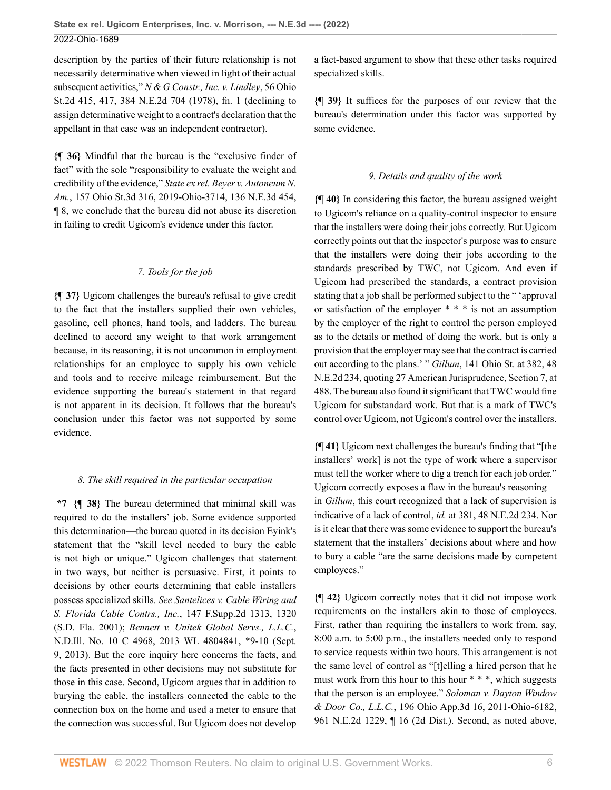description by the parties of their future relationship is not necessarily determinative when viewed in light of their actual subsequent activities," *[N & G Constr., Inc. v. Lindley](http://www.westlaw.com/Link/Document/FullText?findType=Y&serNum=1979144860&pubNum=0000578&originatingDoc=I49937d00db7211ecbba4d707ee4952c4&refType=RP&fi=co_pp_sp_578_417&originationContext=document&vr=3.0&rs=cblt1.0&transitionType=DocumentItem&contextData=(sc.Default)#co_pp_sp_578_417)*, 56 Ohio [St.2d 415, 417, 384 N.E.2d 704 \(1978\), fn. 1](http://www.westlaw.com/Link/Document/FullText?findType=Y&serNum=1979144860&pubNum=0000578&originatingDoc=I49937d00db7211ecbba4d707ee4952c4&refType=RP&fi=co_pp_sp_578_417&originationContext=document&vr=3.0&rs=cblt1.0&transitionType=DocumentItem&contextData=(sc.Default)#co_pp_sp_578_417) (declining to assign determinative weight to a contract's declaration that the appellant in that case was an independent contractor).

**{¶ 36}** Mindful that the bureau is the "exclusive finder of fact" with the sole "responsibility to evaluate the weight and credibility of the evidence," *[State ex rel. Beyer v. Autoneum N.](http://www.westlaw.com/Link/Document/FullText?findType=Y&serNum=2049190624&pubNum=0007902&originatingDoc=I49937d00db7211ecbba4d707ee4952c4&refType=RP&originationContext=document&vr=3.0&rs=cblt1.0&transitionType=DocumentItem&contextData=(sc.Default)) Am.*[, 157 Ohio St.3d 316, 2019-Ohio-3714, 136 N.E.3d 454,](http://www.westlaw.com/Link/Document/FullText?findType=Y&serNum=2049190624&pubNum=0007902&originatingDoc=I49937d00db7211ecbba4d707ee4952c4&refType=RP&originationContext=document&vr=3.0&rs=cblt1.0&transitionType=DocumentItem&contextData=(sc.Default)) [¶ 8](http://www.westlaw.com/Link/Document/FullText?findType=Y&serNum=2049190624&pubNum=0007902&originatingDoc=I49937d00db7211ecbba4d707ee4952c4&refType=RP&originationContext=document&vr=3.0&rs=cblt1.0&transitionType=DocumentItem&contextData=(sc.Default)), we conclude that the bureau did not abuse its discretion in failing to credit Ugicom's evidence under this factor.

#### *7. Tools for the job*

**{¶ 37}** Ugicom challenges the bureau's refusal to give credit to the fact that the installers supplied their own vehicles, gasoline, cell phones, hand tools, and ladders. The bureau declined to accord any weight to that work arrangement because, in its reasoning, it is not uncommon in employment relationships for an employee to supply his own vehicle and tools and to receive mileage reimbursement. But the evidence supporting the bureau's statement in that regard is not apparent in its decision. It follows that the bureau's conclusion under this factor was not supported by some evidence.

## *8. The skill required in the particular occupation*

**\*7 {¶ 38}** The bureau determined that minimal skill was required to do the installers' job. Some evidence supported this determination—the bureau quoted in its decision Eyink's statement that the "skill level needed to bury the cable is not high or unique." Ugicom challenges that statement in two ways, but neither is persuasive. First, it points to decisions by other courts determining that cable installers possess specialized skills*. See [Santelices v. Cable Wiring and](http://www.westlaw.com/Link/Document/FullText?findType=Y&serNum=2001588712&pubNum=0004637&originatingDoc=I49937d00db7211ecbba4d707ee4952c4&refType=RP&fi=co_pp_sp_4637_1320&originationContext=document&vr=3.0&rs=cblt1.0&transitionType=DocumentItem&contextData=(sc.Default)#co_pp_sp_4637_1320) [S. Florida Cable Contrs., Inc.](http://www.westlaw.com/Link/Document/FullText?findType=Y&serNum=2001588712&pubNum=0004637&originatingDoc=I49937d00db7211ecbba4d707ee4952c4&refType=RP&fi=co_pp_sp_4637_1320&originationContext=document&vr=3.0&rs=cblt1.0&transitionType=DocumentItem&contextData=(sc.Default)#co_pp_sp_4637_1320)*, 147 F.Supp.2d 1313, 1320 [\(S.D. Fla. 2001\)](http://www.westlaw.com/Link/Document/FullText?findType=Y&serNum=2001588712&pubNum=0004637&originatingDoc=I49937d00db7211ecbba4d707ee4952c4&refType=RP&fi=co_pp_sp_4637_1320&originationContext=document&vr=3.0&rs=cblt1.0&transitionType=DocumentItem&contextData=(sc.Default)#co_pp_sp_4637_1320); *[Bennett v. Unitek Global Servs., L.L.C.](http://www.westlaw.com/Link/Document/FullText?findType=Y&serNum=2031510755&pubNum=0000999&originatingDoc=I49937d00db7211ecbba4d707ee4952c4&refType=RP&fi=co_pp_sp_999_10&originationContext=document&vr=3.0&rs=cblt1.0&transitionType=DocumentItem&contextData=(sc.Default)#co_pp_sp_999_10)*, [N.D.Ill. No. 10 C 4968, 2013 WL 4804841, \\*9-10 \(Sept.](http://www.westlaw.com/Link/Document/FullText?findType=Y&serNum=2031510755&pubNum=0000999&originatingDoc=I49937d00db7211ecbba4d707ee4952c4&refType=RP&fi=co_pp_sp_999_10&originationContext=document&vr=3.0&rs=cblt1.0&transitionType=DocumentItem&contextData=(sc.Default)#co_pp_sp_999_10) [9, 2013\)](http://www.westlaw.com/Link/Document/FullText?findType=Y&serNum=2031510755&pubNum=0000999&originatingDoc=I49937d00db7211ecbba4d707ee4952c4&refType=RP&fi=co_pp_sp_999_10&originationContext=document&vr=3.0&rs=cblt1.0&transitionType=DocumentItem&contextData=(sc.Default)#co_pp_sp_999_10). But the core inquiry here concerns the facts, and the facts presented in other decisions may not substitute for those in this case. Second, Ugicom argues that in addition to burying the cable, the installers connected the cable to the connection box on the home and used a meter to ensure that the connection was successful. But Ugicom does not develop a fact-based argument to show that these other tasks required specialized skills.

**{¶ 39}** It suffices for the purposes of our review that the bureau's determination under this factor was supported by some evidence.

# *9. Details and quality of the work*

**{¶ 40}** In considering this factor, the bureau assigned weight to Ugicom's reliance on a quality-control inspector to ensure that the installers were doing their jobs correctly. But Ugicom correctly points out that the inspector's purpose was to ensure that the installers were doing their jobs according to the standards prescribed by TWC, not Ugicom. And even if Ugicom had prescribed the standards, a contract provision stating that a job shall be performed subject to the " 'approval or satisfaction of the employer \* \* \* is not an assumption by the employer of the right to control the person employed as to the details or method of doing the work, but is only a provision that the employer may see that the contract is carried out according to the plans.' " *Gillum*[, 141 Ohio St. at 382, 48](http://www.westlaw.com/Link/Document/FullText?findType=Y&serNum=1943108668&pubNum=0000633&originatingDoc=I49937d00db7211ecbba4d707ee4952c4&refType=RP&fi=co_pp_sp_633_382&originationContext=document&vr=3.0&rs=cblt1.0&transitionType=DocumentItem&contextData=(sc.Default)#co_pp_sp_633_382) [N.E.2d 234](http://www.westlaw.com/Link/Document/FullText?findType=Y&serNum=1943108668&pubNum=0000633&originatingDoc=I49937d00db7211ecbba4d707ee4952c4&refType=RP&fi=co_pp_sp_633_382&originationContext=document&vr=3.0&rs=cblt1.0&transitionType=DocumentItem&contextData=(sc.Default)#co_pp_sp_633_382), quoting 27 American Jurisprudence, Section 7, at 488. The bureau also found it significant that TWC would fine Ugicom for substandard work. But that is a mark of TWC's control over Ugicom, not Ugicom's control over the installers.

**{¶ 41}** Ugicom next challenges the bureau's finding that "[the installers' work] is not the type of work where a supervisor must tell the worker where to dig a trench for each job order." Ugicom correctly exposes a flaw in the bureau's reasoning in *[Gillum](http://www.westlaw.com/Link/Document/FullText?findType=Y&serNum=1943108668&pubNum=0000578&originatingDoc=I49937d00db7211ecbba4d707ee4952c4&refType=RP&originationContext=document&vr=3.0&rs=cblt1.0&transitionType=DocumentItem&contextData=(sc.Default))*, this court recognized that a lack of supervision is indicative of a lack of control, *id.* [at 381, 48 N.E.2d 234.](http://www.westlaw.com/Link/Document/FullText?findType=Y&serNum=1943108668&pubNum=0000633&originatingDoc=I49937d00db7211ecbba4d707ee4952c4&refType=RP&fi=co_pp_sp_633_381&originationContext=document&vr=3.0&rs=cblt1.0&transitionType=DocumentItem&contextData=(sc.Default)#co_pp_sp_633_381) Nor is it clear that there was some evidence to support the bureau's statement that the installers' decisions about where and how to bury a cable "are the same decisions made by competent employees."

**{¶ 42}** Ugicom correctly notes that it did not impose work requirements on the installers akin to those of employees. First, rather than requiring the installers to work from, say, 8:00 a.m. to 5:00 p.m., the installers needed only to respond to service requests within two hours. This arrangement is not the same level of control as "[t]elling a hired person that he must work from this hour to this hour \* \* \*, which suggests that the person is an employee." *[Soloman v. Dayton Window](http://www.westlaw.com/Link/Document/FullText?findType=Y&serNum=2026620646&pubNum=0000994&originatingDoc=I49937d00db7211ecbba4d707ee4952c4&refType=RP&originationContext=document&vr=3.0&rs=cblt1.0&transitionType=DocumentItem&contextData=(sc.Default)) & Door Co., L.L.C.*[, 196 Ohio App.3d 16, 2011-Ohio-6182,](http://www.westlaw.com/Link/Document/FullText?findType=Y&serNum=2026620646&pubNum=0000994&originatingDoc=I49937d00db7211ecbba4d707ee4952c4&refType=RP&originationContext=document&vr=3.0&rs=cblt1.0&transitionType=DocumentItem&contextData=(sc.Default)) [961 N.E.2d 1229, ¶ 16 \(2d Dist.\)](http://www.westlaw.com/Link/Document/FullText?findType=Y&serNum=2026620646&pubNum=0000994&originatingDoc=I49937d00db7211ecbba4d707ee4952c4&refType=RP&originationContext=document&vr=3.0&rs=cblt1.0&transitionType=DocumentItem&contextData=(sc.Default)). Second, as noted above,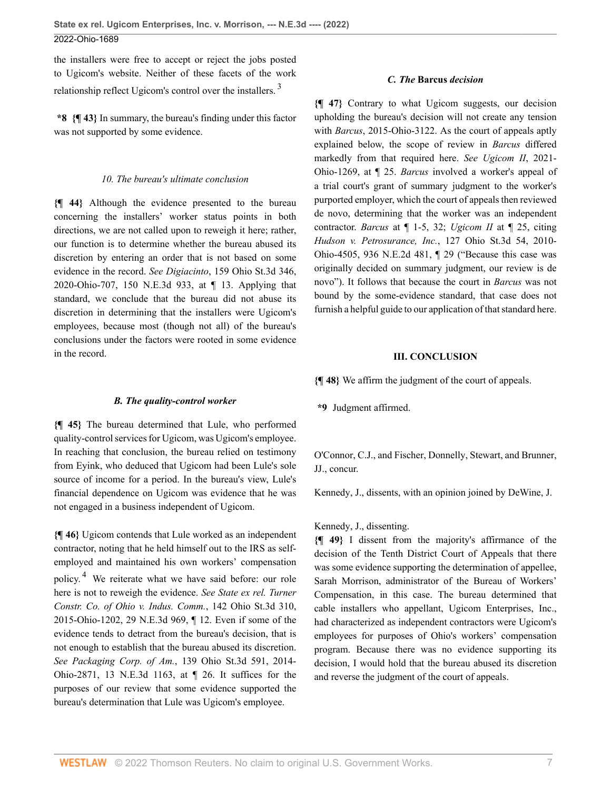the installers were free to accept or reject the jobs posted to Ugicom's website. Neither of these facets of the work relationship reflect Ugicom's control over the installers. [3](#page-13-2)

**\*8 {¶ 43}** In summary, the bureau's finding under this factor was not supported by some evidence.

#### *10. The bureau's ultimate conclusion*

**{¶ 44}** Although the evidence presented to the bureau concerning the installers' worker status points in both directions, we are not called upon to reweigh it here; rather, our function is to determine whether the bureau abused its discretion by entering an order that is not based on some evidence in the record. *See Digiacinto*[, 159 Ohio St.3d 346,](http://www.westlaw.com/Link/Document/FullText?findType=Y&serNum=2050488060&pubNum=0007902&originatingDoc=I49937d00db7211ecbba4d707ee4952c4&refType=RP&originationContext=document&vr=3.0&rs=cblt1.0&transitionType=DocumentItem&contextData=(sc.Default)) [2020-Ohio-707, 150 N.E.3d 933, at ¶ 13.](http://www.westlaw.com/Link/Document/FullText?findType=Y&serNum=2050488060&pubNum=0007902&originatingDoc=I49937d00db7211ecbba4d707ee4952c4&refType=RP&originationContext=document&vr=3.0&rs=cblt1.0&transitionType=DocumentItem&contextData=(sc.Default)) Applying that standard, we conclude that the bureau did not abuse its discretion in determining that the installers were Ugicom's employees, because most (though not all) of the bureau's conclusions under the factors were rooted in some evidence in the record.

#### *B. The quality-control worker*

**{¶ 45}** The bureau determined that Lule, who performed quality-control services for Ugicom, was Ugicom's employee. In reaching that conclusion, the bureau relied on testimony from Eyink, who deduced that Ugicom had been Lule's sole source of income for a period. In the bureau's view, Lule's financial dependence on Ugicom was evidence that he was not engaged in a business independent of Ugicom.

<span id="page-6-1"></span>**{¶ 46}** Ugicom contends that Lule worked as an independent contractor, noting that he held himself out to the IRS as selfemployed and maintained his own workers' compensation policy. [4](#page-13-3) We reiterate what we have said before: our role here is not to reweigh the evidence. *See [State ex rel. Turner](http://www.westlaw.com/Link/Document/FullText?findType=Y&serNum=2035740557&pubNum=0007902&originatingDoc=I49937d00db7211ecbba4d707ee4952c4&refType=RP&originationContext=document&vr=3.0&rs=cblt1.0&transitionType=DocumentItem&contextData=(sc.Default)) [Constr. Co. of Ohio v. Indus. Comm.](http://www.westlaw.com/Link/Document/FullText?findType=Y&serNum=2035740557&pubNum=0007902&originatingDoc=I49937d00db7211ecbba4d707ee4952c4&refType=RP&originationContext=document&vr=3.0&rs=cblt1.0&transitionType=DocumentItem&contextData=(sc.Default))*, 142 Ohio St.3d 310, [2015-Ohio-1202, 29 N.E.3d 969, ¶ 12.](http://www.westlaw.com/Link/Document/FullText?findType=Y&serNum=2035740557&pubNum=0007902&originatingDoc=I49937d00db7211ecbba4d707ee4952c4&refType=RP&originationContext=document&vr=3.0&rs=cblt1.0&transitionType=DocumentItem&contextData=(sc.Default)) Even if some of the evidence tends to detract from the bureau's decision, that is not enough to establish that the bureau abused its discretion. *See Packaging Corp. of Am.*[, 139 Ohio St.3d 591, 2014-](http://www.westlaw.com/Link/Document/FullText?findType=Y&serNum=2033762708&pubNum=0007902&originatingDoc=I49937d00db7211ecbba4d707ee4952c4&refType=RP&originationContext=document&vr=3.0&rs=cblt1.0&transitionType=DocumentItem&contextData=(sc.Default)) [Ohio-2871, 13 N.E.3d 1163, at ¶ 26.](http://www.westlaw.com/Link/Document/FullText?findType=Y&serNum=2033762708&pubNum=0007902&originatingDoc=I49937d00db7211ecbba4d707ee4952c4&refType=RP&originationContext=document&vr=3.0&rs=cblt1.0&transitionType=DocumentItem&contextData=(sc.Default)) It suffices for the purposes of our review that some evidence supported the bureau's determination that Lule was Ugicom's employee.

#### *C. The* **[Barcus](http://www.westlaw.com/Link/Document/FullText?findType=Y&serNum=2036818448&pubNum=0006832&originatingDoc=I49937d00db7211ecbba4d707ee4952c4&refType=RP&originationContext=document&vr=3.0&rs=cblt1.0&transitionType=DocumentItem&contextData=(sc.Default))** *decision*

<span id="page-6-0"></span>**{¶ 47}** Contrary to what Ugicom suggests, our decision upholding the bureau's decision will not create any tension with *Barcus*[, 2015-Ohio-3122.](http://www.westlaw.com/Link/Document/FullText?findType=Y&serNum=2036818448&pubNum=0006832&originatingDoc=I49937d00db7211ecbba4d707ee4952c4&refType=RP&originationContext=document&vr=3.0&rs=cblt1.0&transitionType=DocumentItem&contextData=(sc.Default)) As the court of appeals aptly explained below, the scope of review in *[Barcus](http://www.westlaw.com/Link/Document/FullText?findType=Y&serNum=2036818448&pubNum=0006832&originatingDoc=I49937d00db7211ecbba4d707ee4952c4&refType=RP&originationContext=document&vr=3.0&rs=cblt1.0&transitionType=DocumentItem&contextData=(sc.Default))* differed markedly from that required here. *See [Ugicom II](http://www.westlaw.com/Link/Document/FullText?findType=Y&serNum=2053432869&pubNum=0006832&originatingDoc=I49937d00db7211ecbba4d707ee4952c4&refType=RP&originationContext=document&vr=3.0&rs=cblt1.0&transitionType=DocumentItem&contextData=(sc.Default))*, 2021- [Ohio-1269, at ¶ 25.](http://www.westlaw.com/Link/Document/FullText?findType=Y&serNum=2053432869&pubNum=0006832&originatingDoc=I49937d00db7211ecbba4d707ee4952c4&refType=RP&originationContext=document&vr=3.0&rs=cblt1.0&transitionType=DocumentItem&contextData=(sc.Default)) *[Barcus](http://www.westlaw.com/Link/Document/FullText?findType=Y&serNum=2036818448&pubNum=0006832&originatingDoc=I49937d00db7211ecbba4d707ee4952c4&refType=RP&originationContext=document&vr=3.0&rs=cblt1.0&transitionType=DocumentItem&contextData=(sc.Default))* involved a worker's appeal of a trial court's grant of summary judgment to the worker's purported employer, which the court of appeals then reviewed de novo, determining that the worker was an independent contractor. *Barcus* [at ¶ 1-5, 32](http://www.westlaw.com/Link/Document/FullText?findType=Y&serNum=2036818448&originatingDoc=I49937d00db7211ecbba4d707ee4952c4&refType=RP&originationContext=document&vr=3.0&rs=cblt1.0&transitionType=DocumentItem&contextData=(sc.Default)); *[Ugicom II](http://www.westlaw.com/Link/Document/FullText?findType=Y&serNum=2053432869&pubNum=0006832&originatingDoc=I49937d00db7211ecbba4d707ee4952c4&refType=RP&originationContext=document&vr=3.0&rs=cblt1.0&transitionType=DocumentItem&contextData=(sc.Default))* at ¶ 25, citing *[Hudson v. Petrosurance, Inc.](http://www.westlaw.com/Link/Document/FullText?findType=Y&serNum=2023209833&pubNum=0000996&originatingDoc=I49937d00db7211ecbba4d707ee4952c4&refType=RP&originationContext=document&vr=3.0&rs=cblt1.0&transitionType=DocumentItem&contextData=(sc.Default))*, 127 Ohio St.3d 54, 2010- [Ohio-4505, 936 N.E.2d 481, ¶ 29](http://www.westlaw.com/Link/Document/FullText?findType=Y&serNum=2023209833&pubNum=0000996&originatingDoc=I49937d00db7211ecbba4d707ee4952c4&refType=RP&originationContext=document&vr=3.0&rs=cblt1.0&transitionType=DocumentItem&contextData=(sc.Default)) ("Because this case was originally decided on summary judgment, our review is de novo"). It follows that because the court in *[Barcus](http://www.westlaw.com/Link/Document/FullText?findType=Y&serNum=2036818448&pubNum=0006832&originatingDoc=I49937d00db7211ecbba4d707ee4952c4&refType=RP&originationContext=document&vr=3.0&rs=cblt1.0&transitionType=DocumentItem&contextData=(sc.Default))* was not bound by the some-evidence standard, that case does not furnish a helpful guide to our application of that standard here.

#### **III. CONCLUSION**

**{¶ 48}** We affirm the judgment of the court of appeals.

**\*9** Judgment affirmed.

[O'Connor](http://www.westlaw.com/Link/Document/FullText?findType=h&pubNum=176284&cite=0333643201&originatingDoc=I49937d00db7211ecbba4d707ee4952c4&refType=RQ&originationContext=document&vr=3.0&rs=cblt1.0&transitionType=DocumentItem&contextData=(sc.Default)), C.J., and [Fischer,](http://www.westlaw.com/Link/Document/FullText?findType=h&pubNum=176284&cite=0161113501&originatingDoc=I49937d00db7211ecbba4d707ee4952c4&refType=RQ&originationContext=document&vr=3.0&rs=cblt1.0&transitionType=DocumentItem&contextData=(sc.Default)) [Donnelly,](http://www.westlaw.com/Link/Document/FullText?findType=h&pubNum=176284&cite=0107640701&originatingDoc=I49937d00db7211ecbba4d707ee4952c4&refType=RQ&originationContext=document&vr=3.0&rs=cblt1.0&transitionType=DocumentItem&contextData=(sc.Default)) [Stewart,](http://www.westlaw.com/Link/Document/FullText?findType=h&pubNum=176284&cite=0375088301&originatingDoc=I49937d00db7211ecbba4d707ee4952c4&refType=RQ&originationContext=document&vr=3.0&rs=cblt1.0&transitionType=DocumentItem&contextData=(sc.Default)) and [Brunner,](http://www.westlaw.com/Link/Document/FullText?findType=h&pubNum=176284&cite=0488630801&originatingDoc=I49937d00db7211ecbba4d707ee4952c4&refType=RQ&originationContext=document&vr=3.0&rs=cblt1.0&transitionType=DocumentItem&contextData=(sc.Default)) JJ., concur.

[Kennedy](http://www.westlaw.com/Link/Document/FullText?findType=h&pubNum=176284&cite=0256750101&originatingDoc=I49937d00db7211ecbba4d707ee4952c4&refType=RQ&originationContext=document&vr=3.0&rs=cblt1.0&transitionType=DocumentItem&contextData=(sc.Default)), J., dissents, with an opinion joined by [DeWine](http://www.westlaw.com/Link/Document/FullText?findType=h&pubNum=176284&cite=0155065901&originatingDoc=I49937d00db7211ecbba4d707ee4952c4&refType=RQ&originationContext=document&vr=3.0&rs=cblt1.0&transitionType=DocumentItem&contextData=(sc.Default)), J.

## [Kennedy](http://www.westlaw.com/Link/Document/FullText?findType=h&pubNum=176284&cite=0256750101&originatingDoc=I49937d00db7211ecbba4d707ee4952c4&refType=RQ&originationContext=document&vr=3.0&rs=cblt1.0&transitionType=DocumentItem&contextData=(sc.Default)), J., dissenting.

**{¶ 49}** I dissent from the majority's affirmance of the decision of the Tenth District Court of Appeals that there was some evidence supporting the determination of appellee, Sarah Morrison, administrator of the Bureau of Workers' Compensation, in this case. The bureau determined that cable installers who appellant, Ugicom Enterprises, Inc., had characterized as independent contractors were Ugicom's employees for purposes of Ohio's workers' compensation program. Because there was no evidence supporting its decision, I would hold that the bureau abused its discretion and reverse the judgment of the court of appeals.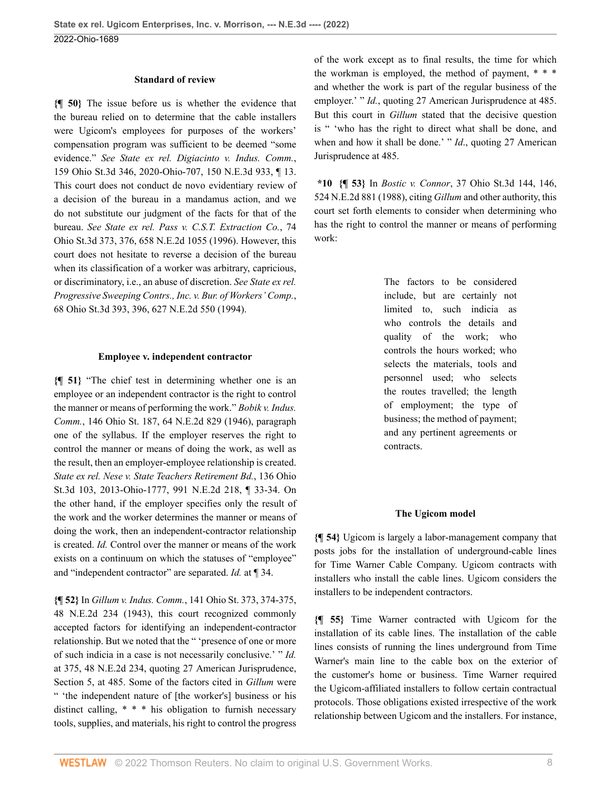#### **Standard of review**

**{¶ 50}** The issue before us is whether the evidence that the bureau relied on to determine that the cable installers were Ugicom's employees for purposes of the workers' compensation program was sufficient to be deemed "some evidence." *See [State ex rel. Digiacinto v. Indus. Comm.](http://www.westlaw.com/Link/Document/FullText?findType=Y&serNum=2050488060&pubNum=0007902&originatingDoc=I49937d00db7211ecbba4d707ee4952c4&refType=RP&originationContext=document&vr=3.0&rs=cblt1.0&transitionType=DocumentItem&contextData=(sc.Default))*, [159 Ohio St.3d 346, 2020-Ohio-707, 150 N.E.3d 933, ¶ 13](http://www.westlaw.com/Link/Document/FullText?findType=Y&serNum=2050488060&pubNum=0007902&originatingDoc=I49937d00db7211ecbba4d707ee4952c4&refType=RP&originationContext=document&vr=3.0&rs=cblt1.0&transitionType=DocumentItem&contextData=(sc.Default)). This court does not conduct de novo evidentiary review of a decision of the bureau in a mandamus action, and we do not substitute our judgment of the facts for that of the bureau. *See [State ex rel. Pass v. C.S.T. Extraction Co.](http://www.westlaw.com/Link/Document/FullText?findType=Y&serNum=1995248810&pubNum=0000996&originatingDoc=I49937d00db7211ecbba4d707ee4952c4&refType=RP&fi=co_pp_sp_996_376&originationContext=document&vr=3.0&rs=cblt1.0&transitionType=DocumentItem&contextData=(sc.Default)#co_pp_sp_996_376)*, 74 [Ohio St.3d 373, 376, 658 N.E.2d 1055 \(1996\).](http://www.westlaw.com/Link/Document/FullText?findType=Y&serNum=1995248810&pubNum=0000996&originatingDoc=I49937d00db7211ecbba4d707ee4952c4&refType=RP&fi=co_pp_sp_996_376&originationContext=document&vr=3.0&rs=cblt1.0&transitionType=DocumentItem&contextData=(sc.Default)#co_pp_sp_996_376) However, this court does not hesitate to reverse a decision of the bureau when its classification of a worker was arbitrary, capricious, or discriminatory, i.e., an abuse of discretion. *See [State ex rel.](http://www.westlaw.com/Link/Document/FullText?findType=Y&serNum=1994038783&pubNum=0000996&originatingDoc=I49937d00db7211ecbba4d707ee4952c4&refType=RP&fi=co_pp_sp_996_396&originationContext=document&vr=3.0&rs=cblt1.0&transitionType=DocumentItem&contextData=(sc.Default)#co_pp_sp_996_396) [Progressive Sweeping Contrs., Inc. v. Bur. of Workers' Comp.](http://www.westlaw.com/Link/Document/FullText?findType=Y&serNum=1994038783&pubNum=0000996&originatingDoc=I49937d00db7211ecbba4d707ee4952c4&refType=RP&fi=co_pp_sp_996_396&originationContext=document&vr=3.0&rs=cblt1.0&transitionType=DocumentItem&contextData=(sc.Default)#co_pp_sp_996_396)*, [68 Ohio St.3d 393, 396, 627 N.E.2d 550 \(1994\).](http://www.westlaw.com/Link/Document/FullText?findType=Y&serNum=1994038783&pubNum=0000996&originatingDoc=I49937d00db7211ecbba4d707ee4952c4&refType=RP&fi=co_pp_sp_996_396&originationContext=document&vr=3.0&rs=cblt1.0&transitionType=DocumentItem&contextData=(sc.Default)#co_pp_sp_996_396)

#### **Employee v. independent contractor**

**{¶ 51}** "The chief test in determining whether one is an employee or an independent contractor is the right to control the manner or means of performing the work." *[Bobik v. Indus.](http://www.westlaw.com/Link/Document/FullText?findType=Y&serNum=1946106696&pubNum=0000578&originatingDoc=I49937d00db7211ecbba4d707ee4952c4&refType=RP&originationContext=document&vr=3.0&rs=cblt1.0&transitionType=DocumentItem&contextData=(sc.Default)) Comm.*[, 146 Ohio St. 187, 64 N.E.2d 829 \(1946\),](http://www.westlaw.com/Link/Document/FullText?findType=Y&serNum=1946106696&pubNum=0000578&originatingDoc=I49937d00db7211ecbba4d707ee4952c4&refType=RP&originationContext=document&vr=3.0&rs=cblt1.0&transitionType=DocumentItem&contextData=(sc.Default)) paragraph one of the syllabus. If the employer reserves the right to control the manner or means of doing the work, as well as the result, then an employer-employee relationship is created. *[State ex rel. Nese v. State Teachers Retirement Bd.](http://www.westlaw.com/Link/Document/FullText?findType=Y&serNum=2030460566&pubNum=0000578&originatingDoc=I49937d00db7211ecbba4d707ee4952c4&refType=RP&originationContext=document&vr=3.0&rs=cblt1.0&transitionType=DocumentItem&contextData=(sc.Default))*, 136 Ohio [St.3d 103, 2013-Ohio-1777, 991 N.E.2d 218, ¶ 33-34](http://www.westlaw.com/Link/Document/FullText?findType=Y&serNum=2030460566&pubNum=0000578&originatingDoc=I49937d00db7211ecbba4d707ee4952c4&refType=RP&originationContext=document&vr=3.0&rs=cblt1.0&transitionType=DocumentItem&contextData=(sc.Default)). On the other hand, if the employer specifies only the result of the work and the worker determines the manner or means of doing the work, then an independent-contractor relationship is created. *[Id.](http://www.westlaw.com/Link/Document/FullText?findType=Y&serNum=2030460566&pubNum=0000996&originatingDoc=I49937d00db7211ecbba4d707ee4952c4&refType=RP&originationContext=document&vr=3.0&rs=cblt1.0&transitionType=DocumentItem&contextData=(sc.Default))* Control over the manner or means of the work exists on a continuum on which the statuses of "employee" and "independent contractor" are separated. *Id.* [at ¶ 34.](http://www.westlaw.com/Link/Document/FullText?findType=Y&serNum=2030460566&pubNum=0000578&originatingDoc=I49937d00db7211ecbba4d707ee4952c4&refType=RP&originationContext=document&vr=3.0&rs=cblt1.0&transitionType=DocumentItem&contextData=(sc.Default))

**{¶ 52}** In *Gillum v. Indus. Comm.*[, 141 Ohio St. 373, 374-375,](http://www.westlaw.com/Link/Document/FullText?findType=Y&serNum=1943108668&pubNum=0000633&originatingDoc=I49937d00db7211ecbba4d707ee4952c4&refType=RP&fi=co_pp_sp_633_374&originationContext=document&vr=3.0&rs=cblt1.0&transitionType=DocumentItem&contextData=(sc.Default)#co_pp_sp_633_374) [48 N.E.2d 234 \(1943\),](http://www.westlaw.com/Link/Document/FullText?findType=Y&serNum=1943108668&pubNum=0000633&originatingDoc=I49937d00db7211ecbba4d707ee4952c4&refType=RP&fi=co_pp_sp_633_374&originationContext=document&vr=3.0&rs=cblt1.0&transitionType=DocumentItem&contextData=(sc.Default)#co_pp_sp_633_374) this court recognized commonly accepted factors for identifying an independent-contractor relationship. But we noted that the " 'presence of one or more of such indicia in a case is not necessarily conclusive.' " *[Id.](http://www.westlaw.com/Link/Document/FullText?findType=Y&serNum=1943108668&pubNum=0000633&originatingDoc=I49937d00db7211ecbba4d707ee4952c4&refType=RP&fi=co_pp_sp_633_375&originationContext=document&vr=3.0&rs=cblt1.0&transitionType=DocumentItem&contextData=(sc.Default)#co_pp_sp_633_375)* [at 375, 48 N.E.2d 234](http://www.westlaw.com/Link/Document/FullText?findType=Y&serNum=1943108668&pubNum=0000633&originatingDoc=I49937d00db7211ecbba4d707ee4952c4&refType=RP&fi=co_pp_sp_633_375&originationContext=document&vr=3.0&rs=cblt1.0&transitionType=DocumentItem&contextData=(sc.Default)#co_pp_sp_633_375), quoting 27 American Jurisprudence, Section 5, at 485. Some of the factors cited in *[Gillum](http://www.westlaw.com/Link/Document/FullText?findType=Y&serNum=1943108668&pubNum=0000578&originatingDoc=I49937d00db7211ecbba4d707ee4952c4&refType=RP&originationContext=document&vr=3.0&rs=cblt1.0&transitionType=DocumentItem&contextData=(sc.Default))* were " 'the independent nature of [the worker's] business or his distinct calling, \* \* \* his obligation to furnish necessary tools, supplies, and materials, his right to control the progress of the work except as to final results, the time for which the workman is employed, the method of payment, \* \* \* and whether the work is part of the regular business of the employer.' " *[Id.](http://www.westlaw.com/Link/Document/FullText?findType=Y&serNum=1943108668&pubNum=0000633&originatingDoc=I49937d00db7211ecbba4d707ee4952c4&refType=PA&originationContext=document&vr=3.0&rs=cblt1.0&transitionType=DocumentItem&contextData=(sc.Default))*, quoting 27 American Jurisprudence at 485. But this court in *[Gillum](http://www.westlaw.com/Link/Document/FullText?findType=Y&serNum=1943108668&pubNum=0000578&originatingDoc=I49937d00db7211ecbba4d707ee4952c4&refType=RP&originationContext=document&vr=3.0&rs=cblt1.0&transitionType=DocumentItem&contextData=(sc.Default))* stated that the decisive question is " 'who has the right to direct what shall be done, and when and how it shall be done.' " *[Id](http://www.westlaw.com/Link/Document/FullText?findType=Y&serNum=1943108668&pubNum=0000633&originatingDoc=I49937d00db7211ecbba4d707ee4952c4&refType=RP&originationContext=document&vr=3.0&rs=cblt1.0&transitionType=DocumentItem&contextData=(sc.Default)).*, quoting 27 American Jurisprudence at 485.

**\*10 {¶ 53}** In *Bostic v. Connor*[, 37 Ohio St.3d 144, 146,](http://www.westlaw.com/Link/Document/FullText?findType=Y&serNum=1988078504&pubNum=0000996&originatingDoc=I49937d00db7211ecbba4d707ee4952c4&refType=RP&fi=co_pp_sp_996_146&originationContext=document&vr=3.0&rs=cblt1.0&transitionType=DocumentItem&contextData=(sc.Default)#co_pp_sp_996_146) [524 N.E.2d 881 \(1988\),](http://www.westlaw.com/Link/Document/FullText?findType=Y&serNum=1988078504&pubNum=0000996&originatingDoc=I49937d00db7211ecbba4d707ee4952c4&refType=RP&fi=co_pp_sp_996_146&originationContext=document&vr=3.0&rs=cblt1.0&transitionType=DocumentItem&contextData=(sc.Default)#co_pp_sp_996_146) citing *[Gillum](http://www.westlaw.com/Link/Document/FullText?findType=Y&serNum=1943108668&pubNum=0000578&originatingDoc=I49937d00db7211ecbba4d707ee4952c4&refType=RP&originationContext=document&vr=3.0&rs=cblt1.0&transitionType=DocumentItem&contextData=(sc.Default))* and other authority, this court set forth elements to consider when determining who has the right to control the manner or means of performing work:

> The factors to be considered include, but are certainly not limited to, such indicia as who controls the details and quality of the work; who controls the hours worked; who selects the materials, tools and personnel used; who selects the routes travelled; the length of employment; the type of business; the method of payment; and any pertinent agreements or contracts.

#### **The Ugicom model**

**{¶ 54}** Ugicom is largely a labor-management company that posts jobs for the installation of underground-cable lines for Time Warner Cable Company. Ugicom contracts with installers who install the cable lines. Ugicom considers the installers to be independent contractors.

**{¶ 55}** Time Warner contracted with Ugicom for the installation of its cable lines. The installation of the cable lines consists of running the lines underground from Time Warner's main line to the cable box on the exterior of the customer's home or business. Time Warner required the Ugicom-affiliated installers to follow certain contractual protocols. Those obligations existed irrespective of the work relationship between Ugicom and the installers. For instance,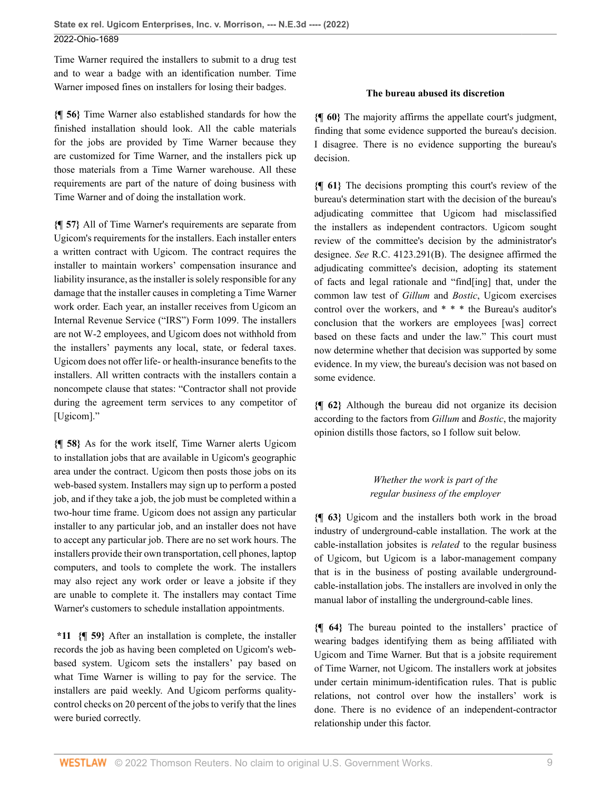Time Warner required the installers to submit to a drug test and to wear a badge with an identification number. Time Warner imposed fines on installers for losing their badges.

**{¶ 56}** Time Warner also established standards for how the finished installation should look. All the cable materials for the jobs are provided by Time Warner because they are customized for Time Warner, and the installers pick up those materials from a Time Warner warehouse. All these requirements are part of the nature of doing business with Time Warner and of doing the installation work.

**{¶ 57}** All of Time Warner's requirements are separate from Ugicom's requirements for the installers. Each installer enters a written contract with Ugicom. The contract requires the installer to maintain workers' compensation insurance and liability insurance, as the installer is solely responsible for any damage that the installer causes in completing a Time Warner work order. Each year, an installer receives from Ugicom an Internal Revenue Service ("IRS") Form 1099. The installers are not W-2 employees, and Ugicom does not withhold from the installers' payments any local, state, or federal taxes. Ugicom does not offer life- or health-insurance benefits to the installers. All written contracts with the installers contain a noncompete clause that states: "Contractor shall not provide during the agreement term services to any competitor of [Ugicom]."

**{¶ 58}** As for the work itself, Time Warner alerts Ugicom to installation jobs that are available in Ugicom's geographic area under the contract. Ugicom then posts those jobs on its web-based system. Installers may sign up to perform a posted job, and if they take a job, the job must be completed within a two-hour time frame. Ugicom does not assign any particular installer to any particular job, and an installer does not have to accept any particular job. There are no set work hours. The installers provide their own transportation, cell phones, laptop computers, and tools to complete the work. The installers may also reject any work order or leave a jobsite if they are unable to complete it. The installers may contact Time Warner's customers to schedule installation appointments.

**\*11 {¶ 59}** After an installation is complete, the installer records the job as having been completed on Ugicom's webbased system. Ugicom sets the installers' pay based on what Time Warner is willing to pay for the service. The installers are paid weekly. And Ugicom performs qualitycontrol checks on 20 percent of the jobs to verify that the lines were buried correctly.

### **The bureau abused its discretion**

**{¶ 60}** The majority affirms the appellate court's judgment, finding that some evidence supported the bureau's decision. I disagree. There is no evidence supporting the bureau's decision.

**{¶ 61}** The decisions prompting this court's review of the bureau's determination start with the decision of the bureau's adjudicating committee that Ugicom had misclassified the installers as independent contractors. Ugicom sought review of the committee's decision by the administrator's designee. *See* [R.C. 4123.291\(B\)](http://www.westlaw.com/Link/Document/FullText?findType=L&pubNum=1000279&cite=OHSTS4123.291&originatingDoc=I49937d00db7211ecbba4d707ee4952c4&refType=SP&originationContext=document&vr=3.0&rs=cblt1.0&transitionType=DocumentItem&contextData=(sc.Default)#co_pp_47dd0000d9ea7). The designee affirmed the adjudicating committee's decision, adopting its statement of facts and legal rationale and "find[ing] that, under the common law test of *[Gillum](http://www.westlaw.com/Link/Document/FullText?findType=Y&serNum=1943108668&pubNum=0000578&originatingDoc=I49937d00db7211ecbba4d707ee4952c4&refType=RP&originationContext=document&vr=3.0&rs=cblt1.0&transitionType=DocumentItem&contextData=(sc.Default))* and *[Bostic](http://www.westlaw.com/Link/Document/FullText?findType=Y&serNum=1988078504&pubNum=0000996&originatingDoc=I49937d00db7211ecbba4d707ee4952c4&refType=RP&originationContext=document&vr=3.0&rs=cblt1.0&transitionType=DocumentItem&contextData=(sc.Default))*, Ugicom exercises control over the workers, and \* \* \* the Bureau's auditor's conclusion that the workers are employees [was] correct based on these facts and under the law." This court must now determine whether that decision was supported by some evidence. In my view, the bureau's decision was not based on some evidence.

**{¶ 62}** Although the bureau did not organize its decision according to the factors from *[Gillum](http://www.westlaw.com/Link/Document/FullText?findType=Y&serNum=1943108668&pubNum=0000578&originatingDoc=I49937d00db7211ecbba4d707ee4952c4&refType=RP&originationContext=document&vr=3.0&rs=cblt1.0&transitionType=DocumentItem&contextData=(sc.Default))* and *[Bostic](http://www.westlaw.com/Link/Document/FullText?findType=Y&serNum=1988078504&pubNum=0000996&originatingDoc=I49937d00db7211ecbba4d707ee4952c4&refType=RP&originationContext=document&vr=3.0&rs=cblt1.0&transitionType=DocumentItem&contextData=(sc.Default))*, the majority opinion distills those factors, so I follow suit below.

> *Whether the work is part of the regular business of the employer*

**{¶ 63}** Ugicom and the installers both work in the broad industry of underground-cable installation. The work at the cable-installation jobsites is *related* to the regular business of Ugicom, but Ugicom is a labor-management company that is in the business of posting available undergroundcable-installation jobs. The installers are involved in only the manual labor of installing the underground-cable lines.

**{¶ 64}** The bureau pointed to the installers' practice of wearing badges identifying them as being affiliated with Ugicom and Time Warner. But that is a jobsite requirement of Time Warner, not Ugicom. The installers work at jobsites under certain minimum-identification rules. That is public relations, not control over how the installers' work is done. There is no evidence of an independent-contractor relationship under this factor.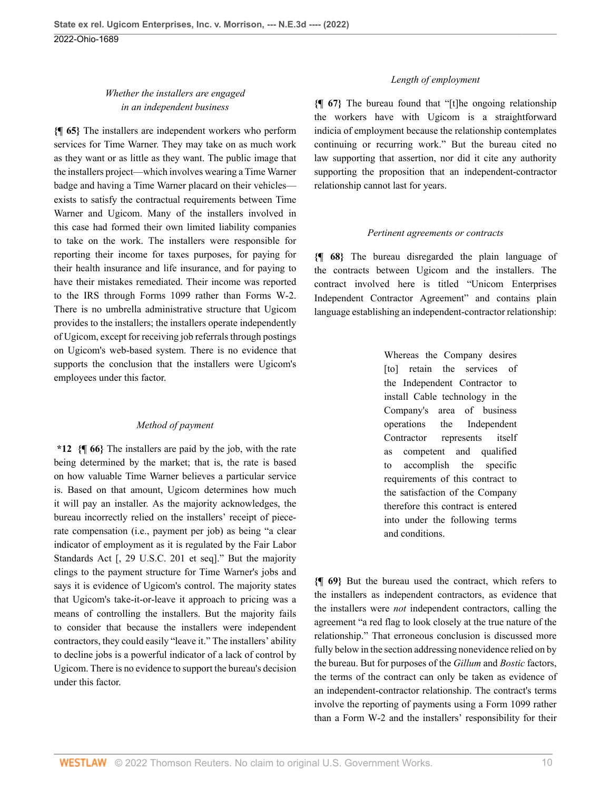# *Whether the installers are engaged in an independent business*

**{¶ 65}** The installers are independent workers who perform services for Time Warner. They may take on as much work as they want or as little as they want. The public image that the installers project—which involves wearing a Time Warner badge and having a Time Warner placard on their vehicles exists to satisfy the contractual requirements between Time Warner and Ugicom. Many of the installers involved in this case had formed their own limited liability companies to take on the work. The installers were responsible for reporting their income for taxes purposes, for paying for their health insurance and life insurance, and for paying to have their mistakes remediated. Their income was reported to the IRS through Forms 1099 rather than Forms W-2. There is no umbrella administrative structure that Ugicom provides to the installers; the installers operate independently of Ugicom, except for receiving job referrals through postings on Ugicom's web-based system. There is no evidence that supports the conclusion that the installers were Ugicom's employees under this factor.

## *Method of payment*

**\*12 {¶ 66}** The installers are paid by the job, with the rate being determined by the market; that is, the rate is based on how valuable Time Warner believes a particular service is. Based on that amount, Ugicom determines how much it will pay an installer. As the majority acknowledges, the bureau incorrectly relied on the installers' receipt of piecerate compensation (i.e., payment per job) as being "a clear indicator of employment as it is regulated by the Fair Labor Standards Act [, [29 U.S.C. 201 et seq](http://www.westlaw.com/Link/Document/FullText?findType=L&pubNum=1000546&cite=29USCAS201&originatingDoc=I49937d00db7211ecbba4d707ee4952c4&refType=LQ&originationContext=document&vr=3.0&rs=cblt1.0&transitionType=DocumentItem&contextData=(sc.Default))]." But the majority clings to the payment structure for Time Warner's jobs and says it is evidence of Ugicom's control. The majority states that Ugicom's take-it-or-leave it approach to pricing was a means of controlling the installers. But the majority fails to consider that because the installers were independent contractors, they could easily "leave it." The installers' ability to decline jobs is a powerful indicator of a lack of control by Ugicom. There is no evidence to support the bureau's decision under this factor.

## *Length of employment*

**{¶ 67}** The bureau found that "[t]he ongoing relationship the workers have with Ugicom is a straightforward indicia of employment because the relationship contemplates continuing or recurring work." But the bureau cited no law supporting that assertion, nor did it cite any authority supporting the proposition that an independent-contractor relationship cannot last for years.

#### *Pertinent agreements or contracts*

**{¶ 68}** The bureau disregarded the plain language of the contracts between Ugicom and the installers. The contract involved here is titled "Unicom Enterprises Independent Contractor Agreement" and contains plain language establishing an independent-contractor relationship:

> Whereas the Company desires [to] retain the services of the Independent Contractor to install Cable technology in the Company's area of business operations the Independent Contractor represents itself as competent and qualified to accomplish the specific requirements of this contract to the satisfaction of the Company therefore this contract is entered into under the following terms and conditions.

**{¶ 69}** But the bureau used the contract, which refers to the installers as independent contractors, as evidence that the installers were *not* independent contractors, calling the agreement "a red flag to look closely at the true nature of the relationship." That erroneous conclusion is discussed more fully below in the section addressing nonevidence relied on by the bureau. But for purposes of the *[Gillum](http://www.westlaw.com/Link/Document/FullText?findType=Y&serNum=1943108668&pubNum=0000578&originatingDoc=I49937d00db7211ecbba4d707ee4952c4&refType=RP&originationContext=document&vr=3.0&rs=cblt1.0&transitionType=DocumentItem&contextData=(sc.Default))* and *[Bostic](http://www.westlaw.com/Link/Document/FullText?findType=Y&serNum=1988078504&pubNum=0000996&originatingDoc=I49937d00db7211ecbba4d707ee4952c4&refType=RP&originationContext=document&vr=3.0&rs=cblt1.0&transitionType=DocumentItem&contextData=(sc.Default))* factors, the terms of the contract can only be taken as evidence of an independent-contractor relationship. The contract's terms involve the reporting of payments using a Form 1099 rather than a Form W-2 and the installers' responsibility for their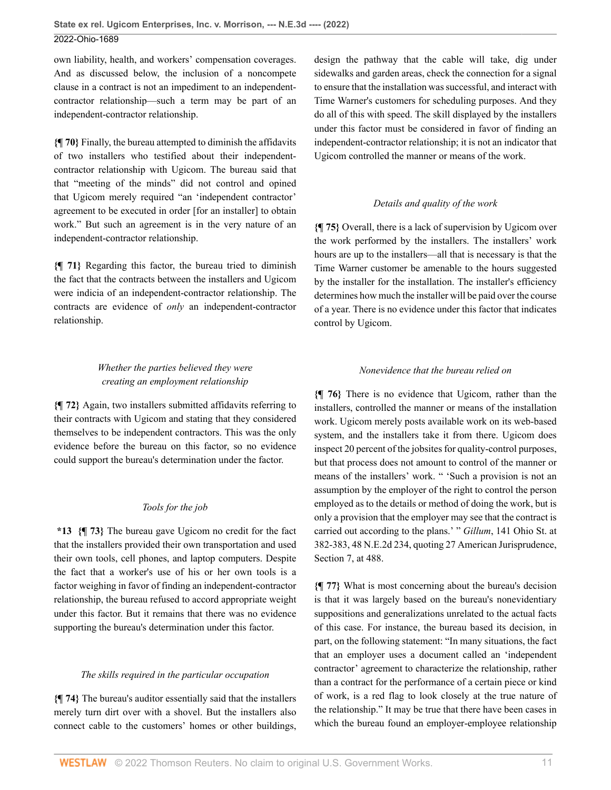own liability, health, and workers' compensation coverages. And as discussed below, the inclusion of a noncompete clause in a contract is not an impediment to an independentcontractor relationship—such a term may be part of an independent-contractor relationship.

**{¶ 70}** Finally, the bureau attempted to diminish the affidavits of two installers who testified about their independentcontractor relationship with Ugicom. The bureau said that that "meeting of the minds" did not control and opined that Ugicom merely required "an 'independent contractor' agreement to be executed in order [for an installer] to obtain work." But such an agreement is in the very nature of an independent-contractor relationship.

**{¶ 71}** Regarding this factor, the bureau tried to diminish the fact that the contracts between the installers and Ugicom were indicia of an independent-contractor relationship. The contracts are evidence of *only* an independent-contractor relationship.

# *Whether the parties believed they were creating an employment relationship*

**{¶ 72}** Again, two installers submitted affidavits referring to their contracts with Ugicom and stating that they considered themselves to be independent contractors. This was the only evidence before the bureau on this factor, so no evidence could support the bureau's determination under the factor.

## *Tools for the job*

**\*13 {¶ 73}** The bureau gave Ugicom no credit for the fact that the installers provided their own transportation and used their own tools, cell phones, and laptop computers. Despite the fact that a worker's use of his or her own tools is a factor weighing in favor of finding an independent-contractor relationship, the bureau refused to accord appropriate weight under this factor. But it remains that there was no evidence supporting the bureau's determination under this factor.

#### *The skills required in the particular occupation*

**{¶ 74}** The bureau's auditor essentially said that the installers merely turn dirt over with a shovel. But the installers also connect cable to the customers' homes or other buildings, design the pathway that the cable will take, dig under sidewalks and garden areas, check the connection for a signal to ensure that the installation was successful, and interact with Time Warner's customers for scheduling purposes. And they do all of this with speed. The skill displayed by the installers under this factor must be considered in favor of finding an independent-contractor relationship; it is not an indicator that Ugicom controlled the manner or means of the work.

## *Details and quality of the work*

**{¶ 75}** Overall, there is a lack of supervision by Ugicom over the work performed by the installers. The installers' work hours are up to the installers—all that is necessary is that the Time Warner customer be amenable to the hours suggested by the installer for the installation. The installer's efficiency determines how much the installer will be paid over the course of a year. There is no evidence under this factor that indicates control by Ugicom.

#### *Nonevidence that the bureau relied on*

**{¶ 76}** There is no evidence that Ugicom, rather than the installers, controlled the manner or means of the installation work. Ugicom merely posts available work on its web-based system, and the installers take it from there. Ugicom does inspect 20 percent of the jobsites for quality-control purposes, but that process does not amount to control of the manner or means of the installers' work. " 'Such a provision is not an assumption by the employer of the right to control the person employed as to the details or method of doing the work, but is only a provision that the employer may see that the contract is carried out according to the plans.' " *Gillum*[, 141 Ohio St. at](http://www.westlaw.com/Link/Document/FullText?findType=Y&serNum=1943108668&pubNum=0000633&originatingDoc=I49937d00db7211ecbba4d707ee4952c4&refType=RP&fi=co_pp_sp_633_382&originationContext=document&vr=3.0&rs=cblt1.0&transitionType=DocumentItem&contextData=(sc.Default)#co_pp_sp_633_382) [382-383, 48 N.E.2d 234,](http://www.westlaw.com/Link/Document/FullText?findType=Y&serNum=1943108668&pubNum=0000633&originatingDoc=I49937d00db7211ecbba4d707ee4952c4&refType=RP&fi=co_pp_sp_633_382&originationContext=document&vr=3.0&rs=cblt1.0&transitionType=DocumentItem&contextData=(sc.Default)#co_pp_sp_633_382) quoting 27 American Jurisprudence, Section 7, at 488.

**{¶ 77}** What is most concerning about the bureau's decision is that it was largely based on the bureau's nonevidentiary suppositions and generalizations unrelated to the actual facts of this case. For instance, the bureau based its decision, in part, on the following statement: "In many situations, the fact that an employer uses a document called an 'independent contractor' agreement to characterize the relationship, rather than a contract for the performance of a certain piece or kind of work, is a red flag to look closely at the true nature of the relationship." It may be true that there have been cases in which the bureau found an employer-employee relationship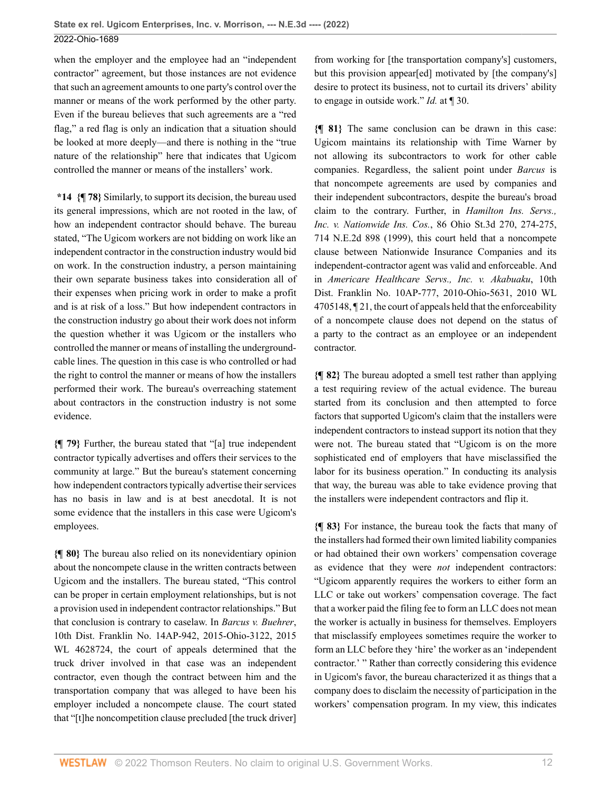when the employer and the employee had an "independent contractor" agreement, but those instances are not evidence that such an agreement amounts to one party's control over the manner or means of the work performed by the other party. Even if the bureau believes that such agreements are a "red flag," a red flag is only an indication that a situation should be looked at more deeply—and there is nothing in the "true nature of the relationship" here that indicates that Ugicom controlled the manner or means of the installers' work.

**\*14 {¶ 78}** Similarly, to support its decision, the bureau used its general impressions, which are not rooted in the law, of how an independent contractor should behave. The bureau stated, "The Ugicom workers are not bidding on work like an independent contractor in the construction industry would bid on work. In the construction industry, a person maintaining their own separate business takes into consideration all of their expenses when pricing work in order to make a profit and is at risk of a loss." But how independent contractors in the construction industry go about their work does not inform the question whether it was Ugicom or the installers who controlled the manner or means of installing the undergroundcable lines. The question in this case is who controlled or had the right to control the manner or means of how the installers performed their work. The bureau's overreaching statement about contractors in the construction industry is not some evidence.

**{¶ 79}** Further, the bureau stated that "[a] true independent contractor typically advertises and offers their services to the community at large." But the bureau's statement concerning how independent contractors typically advertise their services has no basis in law and is at best anecdotal. It is not some evidence that the installers in this case were Ugicom's employees.

**{¶ 80}** The bureau also relied on its nonevidentiary opinion about the noncompete clause in the written contracts between Ugicom and the installers. The bureau stated, "This control can be proper in certain employment relationships, but is not a provision used in independent contractor relationships." But that conclusion is contrary to caselaw. In *[Barcus v. Buehrer](http://www.westlaw.com/Link/Document/FullText?findType=Y&serNum=2036818448&pubNum=0000999&originatingDoc=I49937d00db7211ecbba4d707ee4952c4&refType=RP&originationContext=document&vr=3.0&rs=cblt1.0&transitionType=DocumentItem&contextData=(sc.Default))*, [10th Dist. Franklin No. 14AP-942, 2015-Ohio-3122, 2015](http://www.westlaw.com/Link/Document/FullText?findType=Y&serNum=2036818448&pubNum=0000999&originatingDoc=I49937d00db7211ecbba4d707ee4952c4&refType=RP&originationContext=document&vr=3.0&rs=cblt1.0&transitionType=DocumentItem&contextData=(sc.Default)) [WL 4628724](http://www.westlaw.com/Link/Document/FullText?findType=Y&serNum=2036818448&pubNum=0000999&originatingDoc=I49937d00db7211ecbba4d707ee4952c4&refType=RP&originationContext=document&vr=3.0&rs=cblt1.0&transitionType=DocumentItem&contextData=(sc.Default)), the court of appeals determined that the truck driver involved in that case was an independent contractor, even though the contract between him and the transportation company that was alleged to have been his employer included a noncompete clause. The court stated that "[t]he noncompetition clause precluded [the truck driver]

from working for [the transportation company's] customers, but this provision appear[ed] motivated by [the company's] desire to protect its business, not to curtail its drivers' ability to engage in outside work." *Id.* [at ¶ 30.](http://www.westlaw.com/Link/Document/FullText?findType=Y&serNum=2036818448&pubNum=0006832&originatingDoc=I49937d00db7211ecbba4d707ee4952c4&refType=RP&originationContext=document&vr=3.0&rs=cblt1.0&transitionType=DocumentItem&contextData=(sc.Default))

**{¶ 81}** The same conclusion can be drawn in this case: Ugicom maintains its relationship with Time Warner by not allowing its subcontractors to work for other cable companies. Regardless, the salient point under *[Barcus](http://www.westlaw.com/Link/Document/FullText?findType=Y&serNum=2036818448&pubNum=0006832&originatingDoc=I49937d00db7211ecbba4d707ee4952c4&refType=RP&originationContext=document&vr=3.0&rs=cblt1.0&transitionType=DocumentItem&contextData=(sc.Default))* is that noncompete agreements are used by companies and their independent subcontractors, despite the bureau's broad claim to the contrary. Further, in *[Hamilton Ins. Servs.,](http://www.westlaw.com/Link/Document/FullText?findType=Y&serNum=1999178310&pubNum=0000996&originatingDoc=I49937d00db7211ecbba4d707ee4952c4&refType=RP&fi=co_pp_sp_996_274&originationContext=document&vr=3.0&rs=cblt1.0&transitionType=DocumentItem&contextData=(sc.Default)#co_pp_sp_996_274) Inc. v. Nationwide Ins. Cos.*[, 86 Ohio St.3d 270, 274-275,](http://www.westlaw.com/Link/Document/FullText?findType=Y&serNum=1999178310&pubNum=0000996&originatingDoc=I49937d00db7211ecbba4d707ee4952c4&refType=RP&fi=co_pp_sp_996_274&originationContext=document&vr=3.0&rs=cblt1.0&transitionType=DocumentItem&contextData=(sc.Default)#co_pp_sp_996_274) [714 N.E.2d 898 \(1999\),](http://www.westlaw.com/Link/Document/FullText?findType=Y&serNum=1999178310&pubNum=0000996&originatingDoc=I49937d00db7211ecbba4d707ee4952c4&refType=RP&fi=co_pp_sp_996_274&originationContext=document&vr=3.0&rs=cblt1.0&transitionType=DocumentItem&contextData=(sc.Default)#co_pp_sp_996_274) this court held that a noncompete clause between Nationwide Insurance Companies and its independent-contractor agent was valid and enforceable. And in *[Americare Healthcare Servs., Inc. v. Akabuaku](http://www.westlaw.com/Link/Document/FullText?findType=Y&serNum=2023824914&pubNum=0000999&originatingDoc=I49937d00db7211ecbba4d707ee4952c4&refType=RP&originationContext=document&vr=3.0&rs=cblt1.0&transitionType=DocumentItem&contextData=(sc.Default))*, 10th [Dist. Franklin No. 10AP-777, 2010-Ohio-5631, 2010 WL](http://www.westlaw.com/Link/Document/FullText?findType=Y&serNum=2023824914&pubNum=0000999&originatingDoc=I49937d00db7211ecbba4d707ee4952c4&refType=RP&originationContext=document&vr=3.0&rs=cblt1.0&transitionType=DocumentItem&contextData=(sc.Default)) [4705148, ¶ 21,](http://www.westlaw.com/Link/Document/FullText?findType=Y&serNum=2023824914&pubNum=0000999&originatingDoc=I49937d00db7211ecbba4d707ee4952c4&refType=RP&originationContext=document&vr=3.0&rs=cblt1.0&transitionType=DocumentItem&contextData=(sc.Default)) the court of appeals held that the enforceability of a noncompete clause does not depend on the status of a party to the contract as an employee or an independent contractor.

**{¶ 82}** The bureau adopted a smell test rather than applying a test requiring review of the actual evidence. The bureau started from its conclusion and then attempted to force factors that supported Ugicom's claim that the installers were independent contractors to instead support its notion that they were not. The bureau stated that "Ugicom is on the more sophisticated end of employers that have misclassified the labor for its business operation." In conducting its analysis that way, the bureau was able to take evidence proving that the installers were independent contractors and flip it.

**{¶ 83}** For instance, the bureau took the facts that many of the installers had formed their own limited liability companies or had obtained their own workers' compensation coverage as evidence that they were *not* independent contractors: "Ugicom apparently requires the workers to either form an LLC or take out workers' compensation coverage. The fact that a worker paid the filing fee to form an LLC does not mean the worker is actually in business for themselves. Employers that misclassify employees sometimes require the worker to form an LLC before they 'hire' the worker as an 'independent contractor.' " Rather than correctly considering this evidence in Ugicom's favor, the bureau characterized it as things that a company does to disclaim the necessity of participation in the workers' compensation program. In my view, this indicates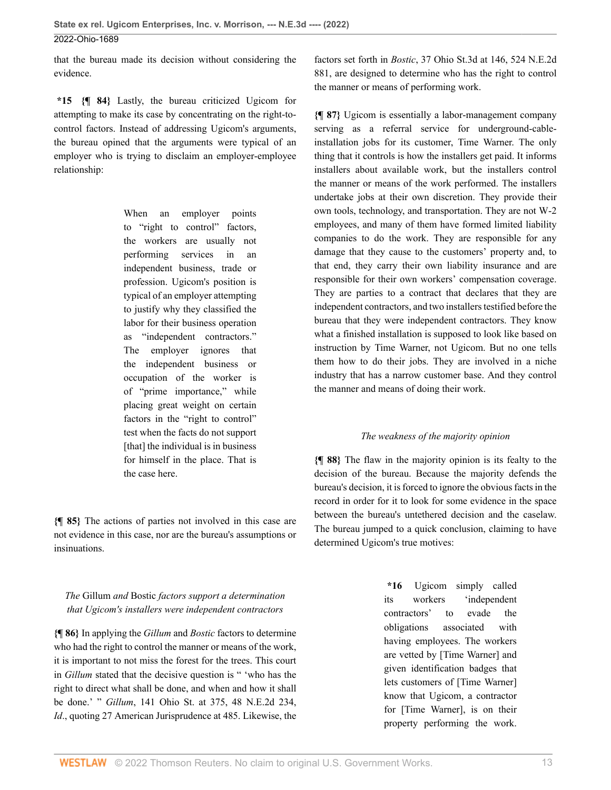that the bureau made its decision without considering the evidence.

**\*15 {¶ 84}** Lastly, the bureau criticized Ugicom for attempting to make its case by concentrating on the right-tocontrol factors. Instead of addressing Ugicom's arguments, the bureau opined that the arguments were typical of an employer who is trying to disclaim an employer-employee relationship:

> When an employer points to "right to control" factors, the workers are usually not performing services in an independent business, trade or profession. Ugicom's position is typical of an employer attempting to justify why they classified the labor for their business operation as "independent contractors." The employer ignores that the independent business or occupation of the worker is of "prime importance," while placing great weight on certain factors in the "right to control" test when the facts do not support [that] the individual is in business for himself in the place. That is the case here.

**{¶ 85}** The actions of parties not involved in this case are not evidence in this case, nor are the bureau's assumptions or insinuations.

*The* Gillum *and* Bostic *factors support a determination that Ugicom's installers were independent contractors*

**{¶ 86}** In applying the *[Gillum](http://www.westlaw.com/Link/Document/FullText?findType=Y&serNum=1943108668&pubNum=0000578&originatingDoc=I49937d00db7211ecbba4d707ee4952c4&refType=RP&originationContext=document&vr=3.0&rs=cblt1.0&transitionType=DocumentItem&contextData=(sc.Default))* and *[Bostic](http://www.westlaw.com/Link/Document/FullText?findType=Y&serNum=1988078504&pubNum=0000996&originatingDoc=I49937d00db7211ecbba4d707ee4952c4&refType=RP&originationContext=document&vr=3.0&rs=cblt1.0&transitionType=DocumentItem&contextData=(sc.Default))* factors to determine who had the right to control the manner or means of the work, it is important to not miss the forest for the trees. This court in *[Gillum](http://www.westlaw.com/Link/Document/FullText?findType=Y&serNum=1943108668&pubNum=0000578&originatingDoc=I49937d00db7211ecbba4d707ee4952c4&refType=RP&originationContext=document&vr=3.0&rs=cblt1.0&transitionType=DocumentItem&contextData=(sc.Default))* stated that the decisive question is " 'who has the right to direct what shall be done, and when and how it shall be done.' " *Gillum*[, 141 Ohio St. at 375, 48 N.E.2d 234](http://www.westlaw.com/Link/Document/FullText?findType=Y&serNum=1943108668&pubNum=0000578&originatingDoc=I49937d00db7211ecbba4d707ee4952c4&refType=RP&fi=co_pp_sp_578_375&originationContext=document&vr=3.0&rs=cblt1.0&transitionType=DocumentItem&contextData=(sc.Default)#co_pp_sp_578_375), *[Id](http://www.westlaw.com/Link/Document/FullText?findType=Y&serNum=1943108668&pubNum=0000633&originatingDoc=I49937d00db7211ecbba4d707ee4952c4&refType=RP&originationContext=document&vr=3.0&rs=cblt1.0&transitionType=DocumentItem&contextData=(sc.Default))*., quoting 27 American Jurisprudence at 485. Likewise, the factors set forth in *Bostic*[, 37 Ohio St.3d at 146, 524 N.E.2d](http://www.westlaw.com/Link/Document/FullText?findType=Y&serNum=1988078504&pubNum=0000996&originatingDoc=I49937d00db7211ecbba4d707ee4952c4&refType=RP&fi=co_pp_sp_996_146&originationContext=document&vr=3.0&rs=cblt1.0&transitionType=DocumentItem&contextData=(sc.Default)#co_pp_sp_996_146) [881](http://www.westlaw.com/Link/Document/FullText?findType=Y&serNum=1988078504&pubNum=0000996&originatingDoc=I49937d00db7211ecbba4d707ee4952c4&refType=RP&fi=co_pp_sp_996_146&originationContext=document&vr=3.0&rs=cblt1.0&transitionType=DocumentItem&contextData=(sc.Default)#co_pp_sp_996_146), are designed to determine who has the right to control the manner or means of performing work.

**{¶ 87}** Ugicom is essentially a labor-management company serving as a referral service for underground-cableinstallation jobs for its customer, Time Warner. The only thing that it controls is how the installers get paid. It informs installers about available work, but the installers control the manner or means of the work performed. The installers undertake jobs at their own discretion. They provide their own tools, technology, and transportation. They are not W-2 employees, and many of them have formed limited liability companies to do the work. They are responsible for any damage that they cause to the customers' property and, to that end, they carry their own liability insurance and are responsible for their own workers' compensation coverage. They are parties to a contract that declares that they are independent contractors, and two installers testified before the bureau that they were independent contractors. They know what a finished installation is supposed to look like based on instruction by Time Warner, not Ugicom. But no one tells them how to do their jobs. They are involved in a niche industry that has a narrow customer base. And they control the manner and means of doing their work.

## *The weakness of the majority opinion*

**{¶ 88}** The flaw in the majority opinion is its fealty to the decision of the bureau. Because the majority defends the bureau's decision, it is forced to ignore the obvious facts in the record in order for it to look for some evidence in the space between the bureau's untethered decision and the caselaw. The bureau jumped to a quick conclusion, claiming to have determined Ugicom's true motives:

> **\*16** Ugicom simply called its workers 'independent contractors' to evade the obligations associated with having employees. The workers are vetted by [Time Warner] and given identification badges that lets customers of [Time Warner] know that Ugicom, a contractor for [Time Warner], is on their property performing the work.